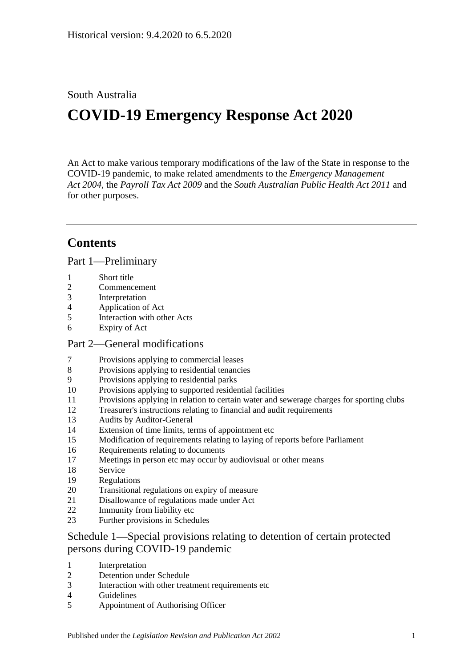## South Australia

# **COVID-19 Emergency Response Act 2020**

An Act to make various temporary modifications of the law of the State in response to the COVID-19 pandemic, to make related amendments to the *[Emergency Management](http://www.legislation.sa.gov.au/index.aspx?action=legref&type=act&legtitle=Emergency%20Management%20Act%202004)  Act [2004](http://www.legislation.sa.gov.au/index.aspx?action=legref&type=act&legtitle=Emergency%20Management%20Act%202004)*, the *[Payroll Tax Act](http://www.legislation.sa.gov.au/index.aspx?action=legref&type=act&legtitle=Payroll%20Tax%20Act%202009) 2009* and the *[South Australian Public Health Act](http://www.legislation.sa.gov.au/index.aspx?action=legref&type=act&legtitle=South%20Australian%20Public%20Health%20Act%202011) 2011* and for other purposes.

# **Contents**

Part [1—Preliminary](#page-2-0)

- [Short title](#page-2-1)
- [Commencement](#page-2-2)
- [Interpretation](#page-2-3)
- [Application of Act](#page-2-4)
- [Interaction with other Acts](#page-2-5)
- [Expiry of Act](#page-2-6)

#### Part [2—General modifications](#page-3-0)

- [Provisions applying to commercial leases](#page-3-1)
- [Provisions applying to residential tenancies](#page-6-0)
- [Provisions applying to residential parks](#page-9-0)
- [Provisions applying to supported residential facilities](#page-10-0)
- [Provisions applying in relation to certain water and sewerage charges for sporting clubs](#page-11-0)
- [Treasurer's instructions relating to financial and audit requirements](#page-12-0)
- [Audits by Auditor-General](#page-13-0)
- [Extension of time limits, terms of appointment etc](#page-14-0)
- [Modification of requirements relating to laying of reports before Parliament](#page-14-1)
- [Requirements relating to documents](#page-15-0)
- [Meetings in person etc may occur by audiovisual or other means](#page-15-1)
- [Service](#page-15-2)
- [Regulations](#page-16-0)
- [Transitional regulations on expiry of measure](#page-17-0)
- [Disallowance of regulations made under Act](#page-18-0)
- [Immunity from liability etc](#page-18-1)
- [Further provisions in Schedules](#page-18-2)

## Schedule [1—Special provisions relating to detention of certain protected](#page-19-0)  [persons during COVID-19 pandemic](#page-19-0)

- [Interpretation](#page-19-1)
- [Detention under Schedule](#page-20-0)
- [Interaction with other treatment requirements etc](#page-20-1)
- [Guidelines](#page-20-2)
- [Appointment of Authorising Officer](#page-20-3)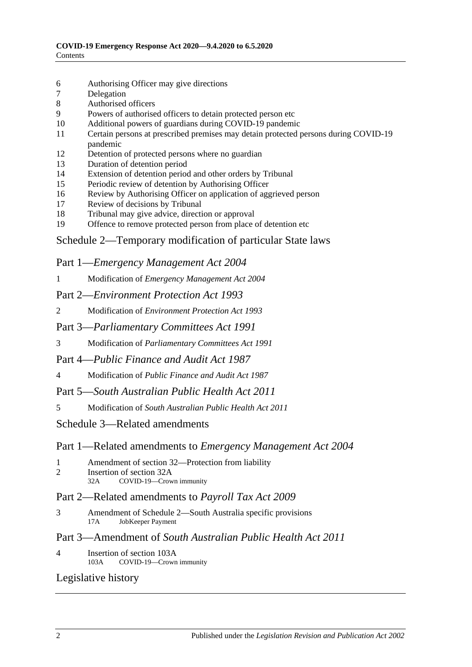- 6 [Authorising Officer may give directions](#page-21-0)
- 7 [Delegation](#page-22-0)
- 8 [Authorised officers](#page-22-1)
- 9 Powers of authorised [officers to detain protected person etc](#page-22-2)
- 10 [Additional powers of guardians during COVID-19 pandemic](#page-23-0)
- 11 [Certain persons at prescribed premises may detain protected persons during COVID-19](#page-24-0)  [pandemic](#page-24-0)
- 12 [Detention of protected persons where no guardian](#page-24-1)
- 13 [Duration of detention period](#page-25-0)
- 14 [Extension of detention period and other orders by Tribunal](#page-25-1)
- 15 [Periodic review of detention by Authorising Officer](#page-26-0)
- 16 [Review by Authorising Officer on application of aggrieved person](#page-26-1)
- 17 [Review of decisions by Tribunal](#page-26-2)
- 18 [Tribunal may give advice, direction or approval](#page-27-0)
- 19 [Offence to remove protected person from place of detention etc](#page-27-1)

### Schedule [2—Temporary modification of particular State laws](#page-27-2)

#### Part 1—*Emergency Management Act 2004*

1 Modification of *[Emergency Management Act](#page-27-3) 2004*

#### Part 2—*Environment Protection Act 1993*

2 Modification of *[Environment Protection Act](#page-29-0) 1993*

#### Part 3—*Parliamentary Committees Act 1991*

3 Modification of *[Parliamentary Committees Act](#page-29-1) 1991*

#### Part 4—*Public Finance and Audit Act 1987*

4 Modification of *[Public Finance and Audit Act](#page-31-0) 1987*

## Part 5—*South Australian Public Health Act 2011*

5 Modification of *[South Australian Public Health Act](#page-31-1) 2011*

#### Schedule [3—Related amendments](#page-32-0)

#### Part 1—Related amendments to *Emergency Management Act 2004*

- 1 [Amendment of section 32—Protection from liability](#page-32-1)
- 2 [Insertion of section 32A](#page-32-2)<br>32A COVID-19-Crow COVID-19—Crown immunity

#### Part 2—Related amendments to *Payroll Tax Act 2009*

3 [Amendment of Schedule 2—South Australia specific provisions](#page-33-0)<br>17A IobKeeper Payment JobKeeper Payment

#### Part 3—Amendment of *South Australian Public Health Act 2011*

4 [Insertion of section 103A](#page-33-1)<br>103A COVID-19-Crown COVID-19—Crown immunity

#### [Legislative history](#page-35-0)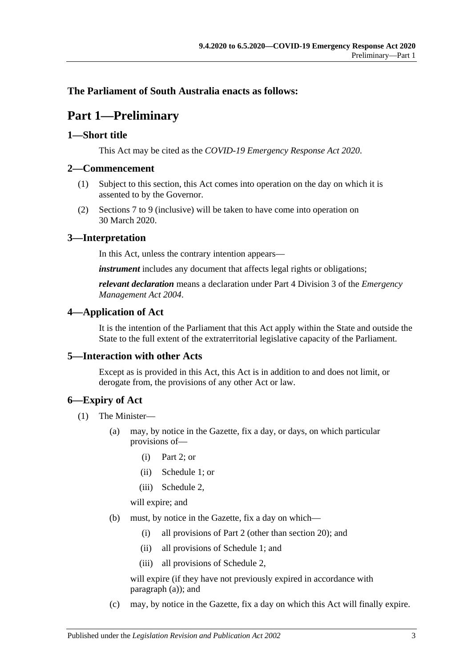## <span id="page-2-0"></span>**The Parliament of South Australia enacts as follows:**

# **Part 1—Preliminary**

#### <span id="page-2-1"></span>**1—Short title**

This Act may be cited as the *COVID-19 Emergency Response Act 2020*.

#### <span id="page-2-2"></span>**2—Commencement**

- (1) Subject to this section, this Act comes into operation on the day on which it is assented to by the Governor.
- (2) [Sections](#page-3-1) 7 to [9](#page-9-0) (inclusive) will be taken to have come into operation on 30 March 2020.

#### <span id="page-2-3"></span>**3—Interpretation**

In this Act, unless the contrary intention appears—

*instrument* includes any document that affects legal rights or obligations;

*relevant declaration* means a declaration under Part 4 Division 3 of the *[Emergency](http://www.legislation.sa.gov.au/index.aspx?action=legref&type=act&legtitle=Emergency%20Management%20Act%202004)  [Management Act](http://www.legislation.sa.gov.au/index.aspx?action=legref&type=act&legtitle=Emergency%20Management%20Act%202004) 2004*.

#### <span id="page-2-4"></span>**4—Application of Act**

It is the intention of the Parliament that this Act apply within the State and outside the State to the full extent of the extraterritorial legislative capacity of the Parliament.

#### <span id="page-2-5"></span>**5—Interaction with other Acts**

Except as is provided in this Act, this Act is in addition to and does not limit, or derogate from, the provisions of any other Act or law.

#### <span id="page-2-6"></span>**6—Expiry of Act**

- <span id="page-2-7"></span>(1) The Minister—
	- (a) may, by notice in the Gazette, fix a day, or days, on which particular provisions of—
		- (i) [Part](#page-3-0) 2; or
		- (ii) [Schedule](#page-19-0) 1; or
		- (iii) [Schedule](#page-27-2) 2,

will expire; and

- <span id="page-2-8"></span>(b) must, by notice in the Gazette, fix a day on which—
	- (i) all provisions of [Part](#page-3-0) 2 (other than [section](#page-17-0) 20); and
	- (ii) all provisions of [Schedule](#page-19-0) 1; and
	- (iii) all provisions of [Schedule](#page-27-2) 2,

will expire (if they have not previously expired in accordance with [paragraph](#page-2-7) (a)); and

(c) may, by notice in the Gazette, fix a day on which this Act will finally expire.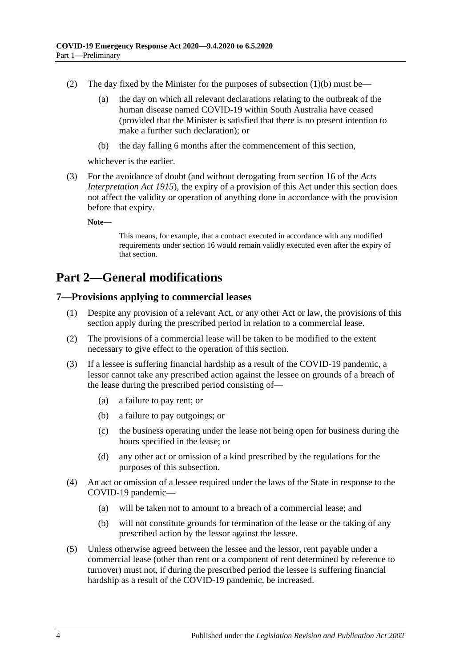- (2) The day fixed by the Minister for the purposes of [subsection](#page-2-8)  $(1)(b)$  must be—
	- (a) the day on which all relevant declarations relating to the outbreak of the human disease named COVID-19 within South Australia have ceased (provided that the Minister is satisfied that there is no present intention to make a further such declaration); or
	- (b) the day falling 6 months after the commencement of this section,

whichever is the earlier.

(3) For the avoidance of doubt (and without derogating from section 16 of the *[Acts](http://www.legislation.sa.gov.au/index.aspx?action=legref&type=act&legtitle=Acts%20Interpretation%20Act%201915)  [Interpretation Act](http://www.legislation.sa.gov.au/index.aspx?action=legref&type=act&legtitle=Acts%20Interpretation%20Act%201915) 1915*), the expiry of a provision of this Act under this section does not affect the validity or operation of anything done in accordance with the provision before that expiry.

**Note—**

This means, for example, that a contract executed in accordance with any modified requirements under [section](#page-15-0) 16 would remain validly executed even after the expiry of that section.

# <span id="page-3-0"></span>**Part 2—General modifications**

#### <span id="page-3-1"></span>**7—Provisions applying to commercial leases**

- (1) Despite any provision of a relevant Act, or any other Act or law, the provisions of this section apply during the prescribed period in relation to a commercial lease.
- (2) The provisions of a commercial lease will be taken to be modified to the extent necessary to give effect to the operation of this section.
- (3) If a lessee is suffering financial hardship as a result of the COVID-19 pandemic, a lessor cannot take any prescribed action against the lessee on grounds of a breach of the lease during the prescribed period consisting of—
	- (a) a failure to pay rent; or
	- (b) a failure to pay outgoings; or
	- (c) the business operating under the lease not being open for business during the hours specified in the lease; or
	- (d) any other act or omission of a kind prescribed by the regulations for the purposes of this subsection.
- (4) An act or omission of a lessee required under the laws of the State in response to the COVID-19 pandemic—
	- (a) will be taken not to amount to a breach of a commercial lease; and
	- (b) will not constitute grounds for termination of the lease or the taking of any prescribed action by the lessor against the lessee.
- (5) Unless otherwise agreed between the lessee and the lessor, rent payable under a commercial lease (other than rent or a component of rent determined by reference to turnover) must not, if during the prescribed period the lessee is suffering financial hardship as a result of the COVID-19 pandemic, be increased.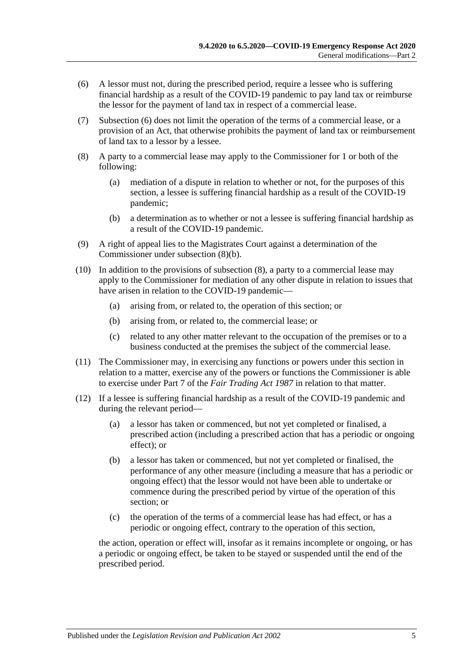- <span id="page-4-0"></span>(6) A lessor must not, during the prescribed period, require a lessee who is suffering financial hardship as a result of the COVID-19 pandemic to pay land tax or reimburse the lessor for the payment of land tax in respect of a commercial lease.
- (7) [Subsection](#page-4-0) (6) does not limit the operation of the terms of a commercial lease, or a provision of an Act, that otherwise prohibits the payment of land tax or reimbursement of land tax to a lessor by a lessee.
- <span id="page-4-2"></span>(8) A party to a commercial lease may apply to the Commissioner for 1 or both of the following:
	- (a) mediation of a dispute in relation to whether or not, for the purposes of this section, a lessee is suffering financial hardship as a result of the COVID-19 pandemic;
	- (b) a determination as to whether or not a lessee is suffering financial hardship as a result of the COVID-19 pandemic.
- <span id="page-4-1"></span>(9) A right of appeal lies to the Magistrates Court against a determination of the Commissioner under [subsection](#page-4-1) (8)(b).
- (10) In addition to the provisions of [subsection](#page-4-2) (8), a party to a commercial lease may apply to the Commissioner for mediation of any other dispute in relation to issues that have arisen in relation to the COVID-19 pandemic—
	- (a) arising from, or related to, the operation of this section; or
	- (b) arising from, or related to, the commercial lease; or
	- (c) related to any other matter relevant to the occupation of the premises or to a business conducted at the premises the subject of the commercial lease.
- (11) The Commissioner may, in exercising any functions or powers under this section in relation to a matter, exercise any of the powers or functions the Commissioner is able to exercise under Part 7 of the *[Fair Trading Act](http://www.legislation.sa.gov.au/index.aspx?action=legref&type=act&legtitle=Fair%20Trading%20Act%201987) 1987* in relation to that matter.
- <span id="page-4-3"></span>(12) If a lessee is suffering financial hardship as a result of the COVID-19 pandemic and during the relevant period—
	- (a) a lessor has taken or commenced, but not yet completed or finalised, a prescribed action (including a prescribed action that has a periodic or ongoing effect); or
	- (b) a lessor has taken or commenced, but not yet completed or finalised, the performance of any other measure (including a measure that has a periodic or ongoing effect) that the lessor would not have been able to undertake or commence during the prescribed period by virtue of the operation of this section; or
	- (c) the operation of the terms of a commercial lease has had effect, or has a periodic or ongoing effect, contrary to the operation of this section,

the action, operation or effect will, insofar as it remains incomplete or ongoing, or has a periodic or ongoing effect, be taken to be stayed or suspended until the end of the prescribed period.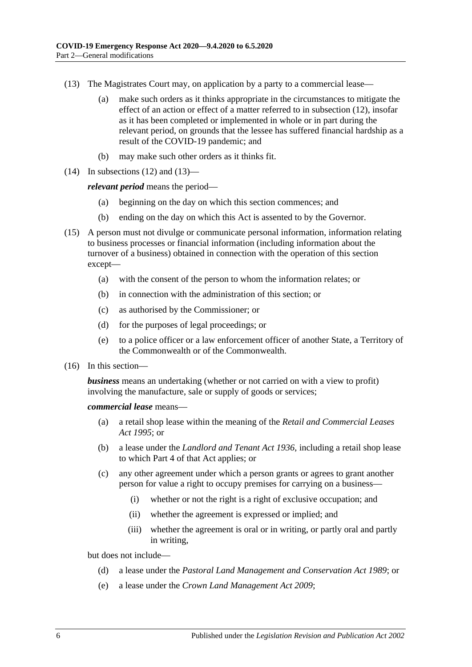- <span id="page-5-0"></span>(13) The Magistrates Court may, on application by a party to a commercial lease—
	- (a) make such orders as it thinks appropriate in the circumstances to mitigate the effect of an action or effect of a matter referred to in [subsection](#page-4-3) (12), insofar as it has been completed or implemented in whole or in part during the relevant period, on grounds that the lessee has suffered financial hardship as a result of the COVID-19 pandemic; and
	- (b) may make such other orders as it thinks fit.
- $(14)$  In [subsections](#page-4-3)  $(12)$  and  $(13)$ —

*relevant period* means the period—

- (a) beginning on the day on which this section commences; and
- (b) ending on the day on which this Act is assented to by the Governor.
- (15) A person must not divulge or communicate personal information, information relating to business processes or financial information (including information about the turnover of a business) obtained in connection with the operation of this section except—
	- (a) with the consent of the person to whom the information relates; or
	- (b) in connection with the administration of this section; or
	- (c) as authorised by the Commissioner; or
	- (d) for the purposes of legal proceedings; or
	- (e) to a police officer or a law enforcement officer of another State, a Territory of the Commonwealth or of the Commonwealth.
- (16) In this section—

*business* means an undertaking (whether or not carried on with a view to profit) involving the manufacture, sale or supply of goods or services;

*commercial lease* means—

- (a) a retail shop lease within the meaning of the *[Retail and Commercial Leases](http://www.legislation.sa.gov.au/index.aspx?action=legref&type=act&legtitle=Retail%20and%20Commercial%20Leases%20Act%201995)  Act [1995](http://www.legislation.sa.gov.au/index.aspx?action=legref&type=act&legtitle=Retail%20and%20Commercial%20Leases%20Act%201995)*; or
- (b) a lease under the *[Landlord and Tenant Act](http://www.legislation.sa.gov.au/index.aspx?action=legref&type=act&legtitle=Landlord%20and%20Tenant%20Act%201936) 1936*, including a retail shop lease to which Part 4 of that Act applies; or
- (c) any other agreement under which a person grants or agrees to grant another person for value a right to occupy premises for carrying on a business—
	- (i) whether or not the right is a right of exclusive occupation; and
	- (ii) whether the agreement is expressed or implied; and
	- (iii) whether the agreement is oral or in writing, or partly oral and partly in writing,

but does not include—

- (d) a lease under the *[Pastoral Land Management and Conservation Act](http://www.legislation.sa.gov.au/index.aspx?action=legref&type=act&legtitle=Pastoral%20Land%20Management%20and%20Conservation%20Act%201989) 1989*; or
- (e) a lease under the *[Crown Land Management Act](http://www.legislation.sa.gov.au/index.aspx?action=legref&type=act&legtitle=Crown%20Land%20Management%20Act%202009) 2009*;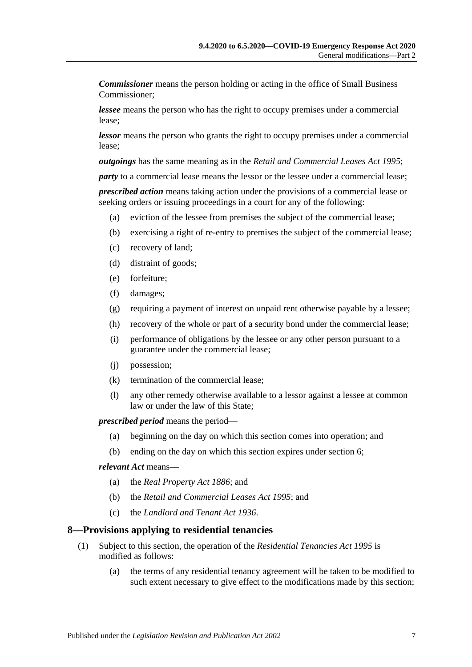*Commissioner* means the person holding or acting in the office of Small Business Commissioner;

*lessee* means the person who has the right to occupy premises under a commercial lease;

*lessor* means the person who grants the right to occupy premises under a commercial lease;

*outgoings* has the same meaning as in the *[Retail and Commercial Leases Act](http://www.legislation.sa.gov.au/index.aspx?action=legref&type=act&legtitle=Retail%20and%20Commercial%20Leases%20Act%201995) 1995*;

*party* to a commercial lease means the lessor or the lessee under a commercial lease;

*prescribed action* means taking action under the provisions of a commercial lease or seeking orders or issuing proceedings in a court for any of the following:

- (a) eviction of the lessee from premises the subject of the commercial lease;
- (b) exercising a right of re-entry to premises the subject of the commercial lease;
- (c) recovery of land;
- (d) distraint of goods;
- (e) forfeiture;
- (f) damages;
- (g) requiring a payment of interest on unpaid rent otherwise payable by a lessee;
- (h) recovery of the whole or part of a security bond under the commercial lease;
- (i) performance of obligations by the lessee or any other person pursuant to a guarantee under the commercial lease;
- (j) possession;
- (k) termination of the commercial lease;
- (l) any other remedy otherwise available to a lessor against a lessee at common law or under the law of this State;

*prescribed period* means the period—

- (a) beginning on the day on which this section comes into operation; and
- (b) ending on the day on which this section expires under [section](#page-2-6) 6;

#### *relevant Act* means—

- (a) the *[Real Property Act](http://www.legislation.sa.gov.au/index.aspx?action=legref&type=act&legtitle=Real%20Property%20Act%201886) 1886*; and
- (b) the *[Retail and Commercial Leases Act](http://www.legislation.sa.gov.au/index.aspx?action=legref&type=act&legtitle=Retail%20and%20Commercial%20Leases%20Act%201995) 1995*; and
- (c) the *[Landlord and Tenant Act](http://www.legislation.sa.gov.au/index.aspx?action=legref&type=act&legtitle=Landlord%20and%20Tenant%20Act%201936) 1936*.

#### <span id="page-6-0"></span>**8—Provisions applying to residential tenancies**

- (1) Subject to this section, the operation of the *[Residential Tenancies Act](http://www.legislation.sa.gov.au/index.aspx?action=legref&type=act&legtitle=Residential%20Tenancies%20Act%201995) 1995* is modified as follows:
	- (a) the terms of any residential tenancy agreement will be taken to be modified to such extent necessary to give effect to the modifications made by this section;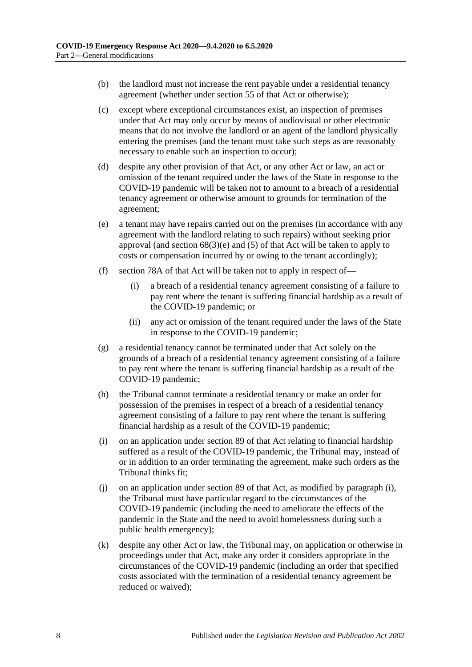- (b) the landlord must not increase the rent payable under a residential tenancy agreement (whether under section 55 of that Act or otherwise);
- (c) except where exceptional circumstances exist, an inspection of premises under that Act may only occur by means of audiovisual or other electronic means that do not involve the landlord or an agent of the landlord physically entering the premises (and the tenant must take such steps as are reasonably necessary to enable such an inspection to occur);
- (d) despite any other provision of that Act, or any other Act or law, an act or omission of the tenant required under the laws of the State in response to the COVID-19 pandemic will be taken not to amount to a breach of a residential tenancy agreement or otherwise amount to grounds for termination of the agreement;
- (e) a tenant may have repairs carried out on the premises (in accordance with any agreement with the landlord relating to such repairs) without seeking prior approval (and section  $68(3)(e)$  and  $(5)$  of that Act will be taken to apply to costs or compensation incurred by or owing to the tenant accordingly);
- (f) section 78A of that Act will be taken not to apply in respect of—
	- (i) a breach of a residential tenancy agreement consisting of a failure to pay rent where the tenant is suffering financial hardship as a result of the COVID-19 pandemic; or
	- (ii) any act or omission of the tenant required under the laws of the State in response to the COVID-19 pandemic;
- (g) a residential tenancy cannot be terminated under that Act solely on the grounds of a breach of a residential tenancy agreement consisting of a failure to pay rent where the tenant is suffering financial hardship as a result of the COVID-19 pandemic;
- (h) the Tribunal cannot terminate a residential tenancy or make an order for possession of the premises in respect of a breach of a residential tenancy agreement consisting of a failure to pay rent where the tenant is suffering financial hardship as a result of the COVID-19 pandemic;
- <span id="page-7-0"></span>(i) on an application under section 89 of that Act relating to financial hardship suffered as a result of the COVID-19 pandemic, the Tribunal may, instead of or in addition to an order terminating the agreement, make such orders as the Tribunal thinks fit;
- (j) on an application under section 89 of that Act, as modified by [paragraph](#page-7-0) (i), the Tribunal must have particular regard to the circumstances of the COVID-19 pandemic (including the need to ameliorate the effects of the pandemic in the State and the need to avoid homelessness during such a public health emergency);
- (k) despite any other Act or law, the Tribunal may, on application or otherwise in proceedings under that Act, make any order it considers appropriate in the circumstances of the COVID-19 pandemic (including an order that specified costs associated with the termination of a residential tenancy agreement be reduced or waived);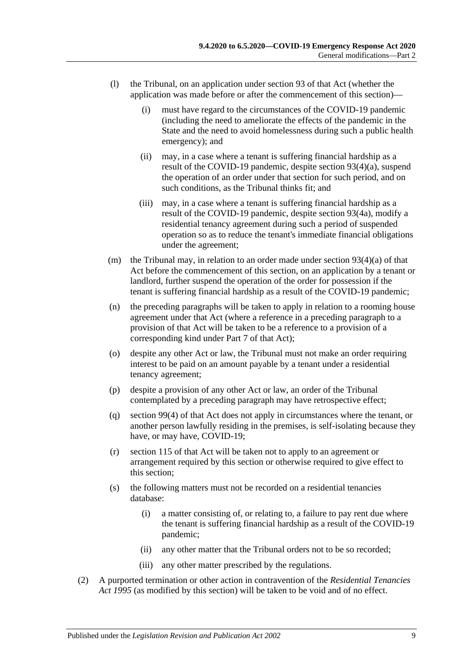- (l) the Tribunal, on an application under section 93 of that Act (whether the application was made before or after the commencement of this section)—
	- (i) must have regard to the circumstances of the COVID-19 pandemic (including the need to ameliorate the effects of the pandemic in the State and the need to avoid homelessness during such a public health emergency); and
	- (ii) may, in a case where a tenant is suffering financial hardship as a result of the COVID-19 pandemic, despite section 93(4)(a), suspend the operation of an order under that section for such period, and on such conditions, as the Tribunal thinks fit; and
	- (iii) may, in a case where a tenant is suffering financial hardship as a result of the COVID-19 pandemic, despite section 93(4a), modify a residential tenancy agreement during such a period of suspended operation so as to reduce the tenant's immediate financial obligations under the agreement;
- (m) the Tribunal may, in relation to an order made under section  $93(4)(a)$  of that Act before the commencement of this section, on an application by a tenant or landlord, further suspend the operation of the order for possession if the tenant is suffering financial hardship as a result of the COVID-19 pandemic;
- (n) the preceding paragraphs will be taken to apply in relation to a rooming house agreement under that Act (where a reference in a preceding paragraph to a provision of that Act will be taken to be a reference to a provision of a corresponding kind under Part 7 of that Act);
- (o) despite any other Act or law, the Tribunal must not make an order requiring interest to be paid on an amount payable by a tenant under a residential tenancy agreement;
- (p) despite a provision of any other Act or law, an order of the Tribunal contemplated by a preceding paragraph may have retrospective effect;
- (q) section 99(4) of that Act does not apply in circumstances where the tenant, or another person lawfully residing in the premises, is self-isolating because they have, or may have, COVID-19;
- (r) section 115 of that Act will be taken not to apply to an agreement or arrangement required by this section or otherwise required to give effect to this section;
- (s) the following matters must not be recorded on a residential tenancies database:
	- (i) a matter consisting of, or relating to, a failure to pay rent due where the tenant is suffering financial hardship as a result of the COVID-19 pandemic;
	- (ii) any other matter that the Tribunal orders not to be so recorded;
	- (iii) any other matter prescribed by the regulations.
- (2) A purported termination or other action in contravention of the *[Residential Tenancies](http://www.legislation.sa.gov.au/index.aspx?action=legref&type=act&legtitle=Residential%20Tenancies%20Act%201995)  Act [1995](http://www.legislation.sa.gov.au/index.aspx?action=legref&type=act&legtitle=Residential%20Tenancies%20Act%201995)* (as modified by this section) will be taken to be void and of no effect.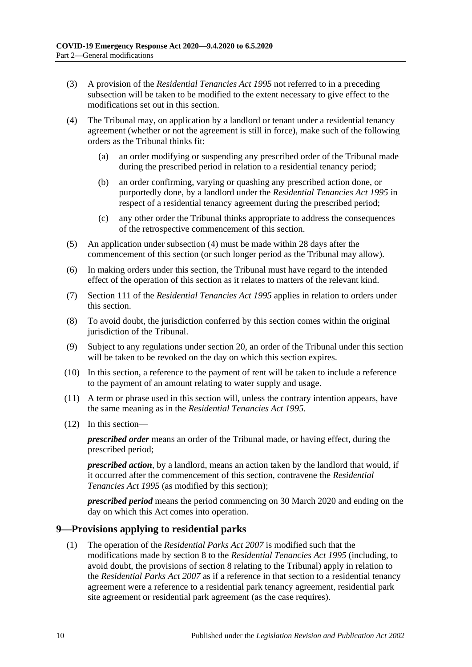- (3) A provision of the *[Residential Tenancies Act](http://www.legislation.sa.gov.au/index.aspx?action=legref&type=act&legtitle=Residential%20Tenancies%20Act%201995) 1995* not referred to in a preceding subsection will be taken to be modified to the extent necessary to give effect to the modifications set out in this section.
- <span id="page-9-1"></span>(4) The Tribunal may, on application by a landlord or tenant under a residential tenancy agreement (whether or not the agreement is still in force), make such of the following orders as the Tribunal thinks fit:
	- (a) an order modifying or suspending any prescribed order of the Tribunal made during the prescribed period in relation to a residential tenancy period;
	- (b) an order confirming, varying or quashing any prescribed action done, or purportedly done, by a landlord under the *[Residential Tenancies Act](http://www.legislation.sa.gov.au/index.aspx?action=legref&type=act&legtitle=Residential%20Tenancies%20Act%201995) 1995* in respect of a residential tenancy agreement during the prescribed period;
	- (c) any other order the Tribunal thinks appropriate to address the consequences of the retrospective commencement of this section.
- (5) An application under [subsection](#page-9-1) (4) must be made within 28 days after the commencement of this section (or such longer period as the Tribunal may allow).
- (6) In making orders under this section, the Tribunal must have regard to the intended effect of the operation of this section as it relates to matters of the relevant kind.
- (7) Section 111 of the *[Residential Tenancies Act](http://www.legislation.sa.gov.au/index.aspx?action=legref&type=act&legtitle=Residential%20Tenancies%20Act%201995) 1995* applies in relation to orders under this section.
- (8) To avoid doubt, the jurisdiction conferred by this section comes within the original jurisdiction of the Tribunal.
- (9) Subject to any regulations under [section](#page-17-0) 20, an order of the Tribunal under this section will be taken to be revoked on the day on which this section expires.
- (10) In this section, a reference to the payment of rent will be taken to include a reference to the payment of an amount relating to water supply and usage.
- (11) A term or phrase used in this section will, unless the contrary intention appears, have the same meaning as in the *[Residential Tenancies Act](http://www.legislation.sa.gov.au/index.aspx?action=legref&type=act&legtitle=Residential%20Tenancies%20Act%201995) 1995*.
- (12) In this section—

*prescribed order* means an order of the Tribunal made, or having effect, during the prescribed period;

*prescribed action*, by a landlord, means an action taken by the landlord that would, if it occurred after the commencement of this section, contravene the *[Residential](http://www.legislation.sa.gov.au/index.aspx?action=legref&type=act&legtitle=Residential%20Tenancies%20Act%201995)  [Tenancies Act](http://www.legislation.sa.gov.au/index.aspx?action=legref&type=act&legtitle=Residential%20Tenancies%20Act%201995) 1995* (as modified by this section);

*prescribed period* means the period commencing on 30 March 2020 and ending on the day on which this Act comes into operation.

#### <span id="page-9-0"></span>**9—Provisions applying to residential parks**

(1) The operation of the *[Residential Parks Act](http://www.legislation.sa.gov.au/index.aspx?action=legref&type=act&legtitle=Residential%20Parks%20Act%202007) 2007* is modified such that the modifications made by [section](#page-6-0) 8 to the *[Residential Tenancies Act](http://www.legislation.sa.gov.au/index.aspx?action=legref&type=act&legtitle=Residential%20Tenancies%20Act%201995) 1995* (including, to avoid doubt, the provisions of [section](#page-6-0) 8 relating to the Tribunal) apply in relation to the *[Residential Parks Act](http://www.legislation.sa.gov.au/index.aspx?action=legref&type=act&legtitle=Residential%20Parks%20Act%202007) 2007* as if a reference in that section to a residential tenancy agreement were a reference to a residential park tenancy agreement, residential park site agreement or residential park agreement (as the case requires).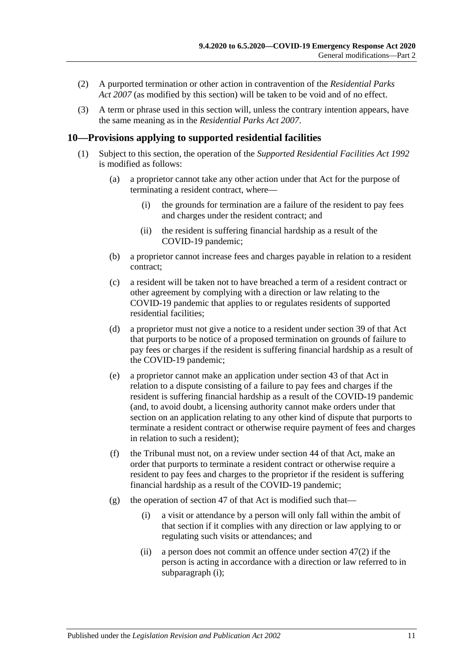- (2) A purported termination or other action in contravention of the *[Residential Parks](http://www.legislation.sa.gov.au/index.aspx?action=legref&type=act&legtitle=Residential%20Parks%20Act%202007)  Act [2007](http://www.legislation.sa.gov.au/index.aspx?action=legref&type=act&legtitle=Residential%20Parks%20Act%202007)* (as modified by this section) will be taken to be void and of no effect.
- (3) A term or phrase used in this section will, unless the contrary intention appears, have the same meaning as in the *[Residential Parks Act](http://www.legislation.sa.gov.au/index.aspx?action=legref&type=act&legtitle=Residential%20Parks%20Act%202007) 2007*.

## <span id="page-10-0"></span>**10—Provisions applying to supported residential facilities**

- <span id="page-10-1"></span>(1) Subject to this section, the operation of the *[Supported Residential Facilities Act](http://www.legislation.sa.gov.au/index.aspx?action=legref&type=act&legtitle=Supported%20Residential%20Facilities%20Act%201992) 1992* is modified as follows:
	- (a) a proprietor cannot take any other action under that Act for the purpose of terminating a resident contract, where—
		- (i) the grounds for termination are a failure of the resident to pay fees and charges under the resident contract; and
		- (ii) the resident is suffering financial hardship as a result of the COVID-19 pandemic;
	- (b) a proprietor cannot increase fees and charges payable in relation to a resident contract;
	- (c) a resident will be taken not to have breached a term of a resident contract or other agreement by complying with a direction or law relating to the COVID-19 pandemic that applies to or regulates residents of supported residential facilities;
	- (d) a proprietor must not give a notice to a resident under section 39 of that Act that purports to be notice of a proposed termination on grounds of failure to pay fees or charges if the resident is suffering financial hardship as a result of the COVID-19 pandemic;
	- (e) a proprietor cannot make an application under section 43 of that Act in relation to a dispute consisting of a failure to pay fees and charges if the resident is suffering financial hardship as a result of the COVID-19 pandemic (and, to avoid doubt, a licensing authority cannot make orders under that section on an application relating to any other kind of dispute that purports to terminate a resident contract or otherwise require payment of fees and charges in relation to such a resident);
	- (f) the Tribunal must not, on a review under section 44 of that Act, make an order that purports to terminate a resident contract or otherwise require a resident to pay fees and charges to the proprietor if the resident is suffering financial hardship as a result of the COVID-19 pandemic;
	- (g) the operation of section 47 of that Act is modified such that—
		- (i) a visit or attendance by a person will only fall within the ambit of that section if it complies with any direction or law applying to or regulating such visits or attendances; and
		- (ii) a person does not commit an offence under section 47(2) if the person is acting in accordance with a direction or law referred to in [subparagraph](#page-10-1) (i);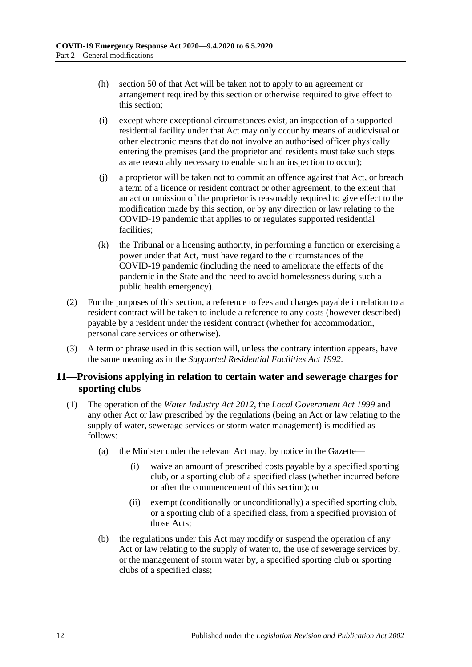- (h) section 50 of that Act will be taken not to apply to an agreement or arrangement required by this section or otherwise required to give effect to this section;
- (i) except where exceptional circumstances exist, an inspection of a supported residential facility under that Act may only occur by means of audiovisual or other electronic means that do not involve an authorised officer physically entering the premises (and the proprietor and residents must take such steps as are reasonably necessary to enable such an inspection to occur);
- (j) a proprietor will be taken not to commit an offence against that Act, or breach a term of a licence or resident contract or other agreement, to the extent that an act or omission of the proprietor is reasonably required to give effect to the modification made by this section, or by any direction or law relating to the COVID-19 pandemic that applies to or regulates supported residential facilities;
- (k) the Tribunal or a licensing authority, in performing a function or exercising a power under that Act, must have regard to the circumstances of the COVID-19 pandemic (including the need to ameliorate the effects of the pandemic in the State and the need to avoid homelessness during such a public health emergency).
- (2) For the purposes of this section, a reference to fees and charges payable in relation to a resident contract will be taken to include a reference to any costs (however described) payable by a resident under the resident contract (whether for accommodation, personal care services or otherwise).
- (3) A term or phrase used in this section will, unless the contrary intention appears, have the same meaning as in the *[Supported Residential Facilities Act](http://www.legislation.sa.gov.au/index.aspx?action=legref&type=act&legtitle=Supported%20Residential%20Facilities%20Act%201992) 1992*.

## <span id="page-11-0"></span>**11—Provisions applying in relation to certain water and sewerage charges for sporting clubs**

- (1) The operation of the *[Water Industry Act](http://www.legislation.sa.gov.au/index.aspx?action=legref&type=act&legtitle=Water%20Industry%20Act%202012) 2012*, the *[Local Government Act](http://www.legislation.sa.gov.au/index.aspx?action=legref&type=act&legtitle=Local%20Government%20Act%201999) 1999* and any other Act or law prescribed by the regulations (being an Act or law relating to the supply of water, sewerage services or storm water management) is modified as follows:
	- (a) the Minister under the relevant Act may, by notice in the Gazette—
		- (i) waive an amount of prescribed costs payable by a specified sporting club, or a sporting club of a specified class (whether incurred before or after the commencement of this section); or
		- (ii) exempt (conditionally or unconditionally) a specified sporting club, or a sporting club of a specified class, from a specified provision of those Acts;
	- (b) the regulations under this Act may modify or suspend the operation of any Act or law relating to the supply of water to, the use of sewerage services by, or the management of storm water by, a specified sporting club or sporting clubs of a specified class;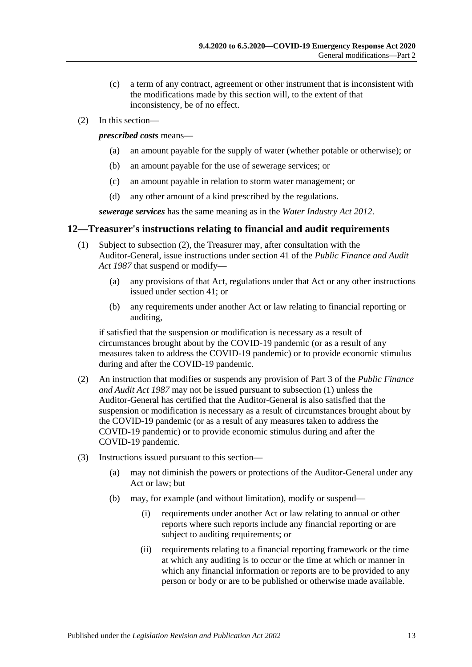- (c) a term of any contract, agreement or other instrument that is inconsistent with the modifications made by this section will, to the extent of that inconsistency, be of no effect.
- (2) In this section—

*prescribed costs* means—

- (a) an amount payable for the supply of water (whether potable or otherwise); or
- (b) an amount payable for the use of sewerage services; or
- (c) an amount payable in relation to storm water management; or
- (d) any other amount of a kind prescribed by the regulations.

*sewerage services* has the same meaning as in the *[Water Industry Act](http://www.legislation.sa.gov.au/index.aspx?action=legref&type=act&legtitle=Water%20Industry%20Act%202012) 2012*.

## <span id="page-12-2"></span><span id="page-12-0"></span>**12—Treasurer's instructions relating to financial and audit requirements**

- (1) Subject to [subsection](#page-12-1) (2), the Treasurer may, after consultation with the Auditor-General, issue instructions under section 41 of the *[Public Finance and Audit](http://www.legislation.sa.gov.au/index.aspx?action=legref&type=act&legtitle=Public%20Finance%20and%20Audit%20Act%201987)  Act [1987](http://www.legislation.sa.gov.au/index.aspx?action=legref&type=act&legtitle=Public%20Finance%20and%20Audit%20Act%201987)* that suspend or modify—
	- (a) any provisions of that Act, regulations under that Act or any other instructions issued under section 41; or
	- (b) any requirements under another Act or law relating to financial reporting or auditing,

if satisfied that the suspension or modification is necessary as a result of circumstances brought about by the COVID-19 pandemic (or as a result of any measures taken to address the COVID-19 pandemic) or to provide economic stimulus during and after the COVID-19 pandemic.

- <span id="page-12-1"></span>(2) An instruction that modifies or suspends any provision of Part 3 of the *[Public Finance](http://www.legislation.sa.gov.au/index.aspx?action=legref&type=act&legtitle=Public%20Finance%20and%20Audit%20Act%201987)  [and Audit Act](http://www.legislation.sa.gov.au/index.aspx?action=legref&type=act&legtitle=Public%20Finance%20and%20Audit%20Act%201987) 1987* may not be issued pursuant to [subsection](#page-12-2) (1) unless the Auditor-General has certified that the Auditor-General is also satisfied that the suspension or modification is necessary as a result of circumstances brought about by the COVID-19 pandemic (or as a result of any measures taken to address the COVID-19 pandemic) or to provide economic stimulus during and after the COVID-19 pandemic.
- (3) Instructions issued pursuant to this section—
	- (a) may not diminish the powers or protections of the Auditor-General under any Act or law; but
	- (b) may, for example (and without limitation), modify or suspend—
		- (i) requirements under another Act or law relating to annual or other reports where such reports include any financial reporting or are subject to auditing requirements; or
		- (ii) requirements relating to a financial reporting framework or the time at which any auditing is to occur or the time at which or manner in which any financial information or reports are to be provided to any person or body or are to be published or otherwise made available.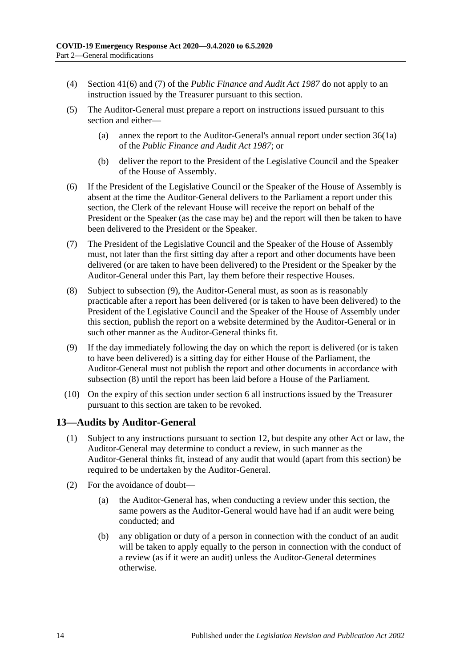- (4) Section 41(6) and (7) of the *[Public Finance and Audit Act](http://www.legislation.sa.gov.au/index.aspx?action=legref&type=act&legtitle=Public%20Finance%20and%20Audit%20Act%201987) 1987* do not apply to an instruction issued by the Treasurer pursuant to this section.
- (5) The Auditor-General must prepare a report on instructions issued pursuant to this section and either—
	- (a) annex the report to the Auditor-General's annual report under section 36(1a) of the *[Public Finance and Audit Act](http://www.legislation.sa.gov.au/index.aspx?action=legref&type=act&legtitle=Public%20Finance%20and%20Audit%20Act%201987) 1987*; or
	- (b) deliver the report to the President of the Legislative Council and the Speaker of the House of Assembly.
- (6) If the President of the Legislative Council or the Speaker of the House of Assembly is absent at the time the Auditor-General delivers to the Parliament a report under this section, the Clerk of the relevant House will receive the report on behalf of the President or the Speaker (as the case may be) and the report will then be taken to have been delivered to the President or the Speaker.
- (7) The President of the Legislative Council and the Speaker of the House of Assembly must, not later than the first sitting day after a report and other documents have been delivered (or are taken to have been delivered) to the President or the Speaker by the Auditor-General under this Part, lay them before their respective Houses.
- <span id="page-13-2"></span>(8) Subject to [subsection](#page-13-1) (9), the Auditor-General must, as soon as is reasonably practicable after a report has been delivered (or is taken to have been delivered) to the President of the Legislative Council and the Speaker of the House of Assembly under this section, publish the report on a website determined by the Auditor-General or in such other manner as the Auditor-General thinks fit.
- <span id="page-13-1"></span>(9) If the day immediately following the day on which the report is delivered (or is taken to have been delivered) is a sitting day for either House of the Parliament, the Auditor-General must not publish the report and other documents in accordance with [subsection](#page-13-2) (8) until the report has been laid before a House of the Parliament.
- (10) On the expiry of this section under [section](#page-2-6) 6 all instructions issued by the Treasurer pursuant to this section are taken to be revoked.

## <span id="page-13-0"></span>**13—Audits by Auditor-General**

- (1) Subject to any instructions pursuant to [section](#page-12-0) 12, but despite any other Act or law, the Auditor-General may determine to conduct a review, in such manner as the Auditor-General thinks fit, instead of any audit that would (apart from this section) be required to be undertaken by the Auditor-General.
- (2) For the avoidance of doubt—
	- (a) the Auditor-General has, when conducting a review under this section, the same powers as the Auditor-General would have had if an audit were being conducted; and
	- (b) any obligation or duty of a person in connection with the conduct of an audit will be taken to apply equally to the person in connection with the conduct of a review (as if it were an audit) unless the Auditor-General determines otherwise.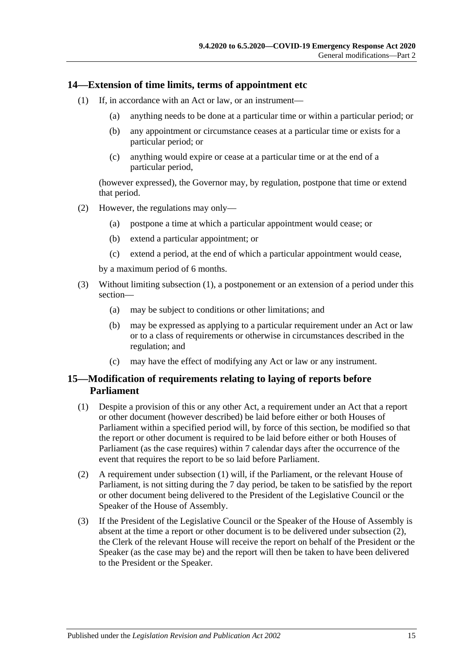#### <span id="page-14-2"></span><span id="page-14-0"></span>**14—Extension of time limits, terms of appointment etc**

- (1) If, in accordance with an Act or law, or an instrument—
	- (a) anything needs to be done at a particular time or within a particular period; or
	- (b) any appointment or circumstance ceases at a particular time or exists for a particular period; or
	- (c) anything would expire or cease at a particular time or at the end of a particular period,

(however expressed), the Governor may, by regulation, postpone that time or extend that period.

- (2) However, the regulations may only—
	- (a) postpone a time at which a particular appointment would cease; or
	- (b) extend a particular appointment; or
	- (c) extend a period, at the end of which a particular appointment would cease,

by a maximum period of 6 months.

- (3) Without limiting [subsection](#page-14-2) (1), a postponement or an extension of a period under this section—
	- (a) may be subject to conditions or other limitations; and
	- (b) may be expressed as applying to a particular requirement under an Act or law or to a class of requirements or otherwise in circumstances described in the regulation; and
	- (c) may have the effect of modifying any Act or law or any instrument.

#### <span id="page-14-1"></span>**15—Modification of requirements relating to laying of reports before Parliament**

- <span id="page-14-3"></span>(1) Despite a provision of this or any other Act, a requirement under an Act that a report or other document (however described) be laid before either or both Houses of Parliament within a specified period will, by force of this section, be modified so that the report or other document is required to be laid before either or both Houses of Parliament (as the case requires) within 7 calendar days after the occurrence of the event that requires the report to be so laid before Parliament.
- <span id="page-14-4"></span>(2) A requirement under [subsection](#page-14-3) (1) will, if the Parliament, or the relevant House of Parliament, is not sitting during the 7 day period, be taken to be satisfied by the report or other document being delivered to the President of the Legislative Council or the Speaker of the House of Assembly.
- <span id="page-14-5"></span>(3) If the President of the Legislative Council or the Speaker of the House of Assembly is absent at the time a report or other document is to be delivered under [subsection](#page-14-4) (2), the Clerk of the relevant House will receive the report on behalf of the President or the Speaker (as the case may be) and the report will then be taken to have been delivered to the President or the Speaker.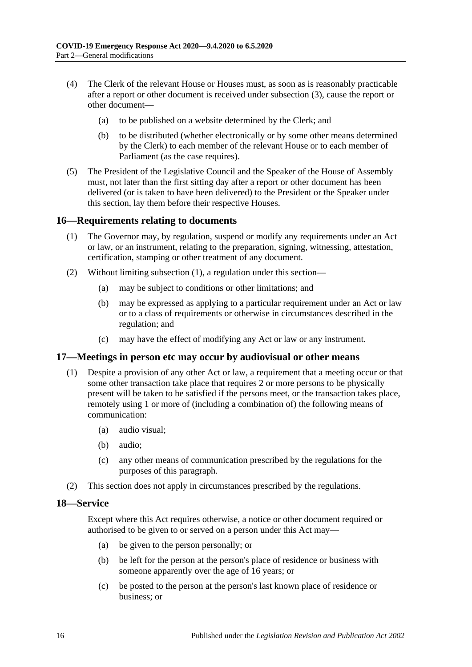- (4) The Clerk of the relevant House or Houses must, as soon as is reasonably practicable after a report or other document is received under [subsection](#page-14-5) (3), cause the report or other document—
	- (a) to be published on a website determined by the Clerk; and
	- (b) to be distributed (whether electronically or by some other means determined by the Clerk) to each member of the relevant House or to each member of Parliament (as the case requires).
- (5) The President of the Legislative Council and the Speaker of the House of Assembly must, not later than the first sitting day after a report or other document has been delivered (or is taken to have been delivered) to the President or the Speaker under this section, lay them before their respective Houses.

#### <span id="page-15-3"></span><span id="page-15-0"></span>**16—Requirements relating to documents**

- (1) The Governor may, by regulation, suspend or modify any requirements under an Act or law, or an instrument, relating to the preparation, signing, witnessing, attestation, certification, stamping or other treatment of any document.
- (2) Without limiting [subsection](#page-15-3) (1), a regulation under this section—
	- (a) may be subject to conditions or other limitations; and
	- (b) may be expressed as applying to a particular requirement under an Act or law or to a class of requirements or otherwise in circumstances described in the regulation; and
	- (c) may have the effect of modifying any Act or law or any instrument.

#### <span id="page-15-1"></span>**17—Meetings in person etc may occur by audiovisual or other means**

- (1) Despite a provision of any other Act or law, a requirement that a meeting occur or that some other transaction take place that requires 2 or more persons to be physically present will be taken to be satisfied if the persons meet, or the transaction takes place, remotely using 1 or more of (including a combination of) the following means of communication:
	- (a) audio visual;
	- (b) audio;
	- (c) any other means of communication prescribed by the regulations for the purposes of this paragraph.
- (2) This section does not apply in circumstances prescribed by the regulations.

#### <span id="page-15-2"></span>**18—Service**

Except where this Act requires otherwise, a notice or other document required or authorised to be given to or served on a person under this Act may—

- (a) be given to the person personally; or
- (b) be left for the person at the person's place of residence or business with someone apparently over the age of 16 years; or
- (c) be posted to the person at the person's last known place of residence or business; or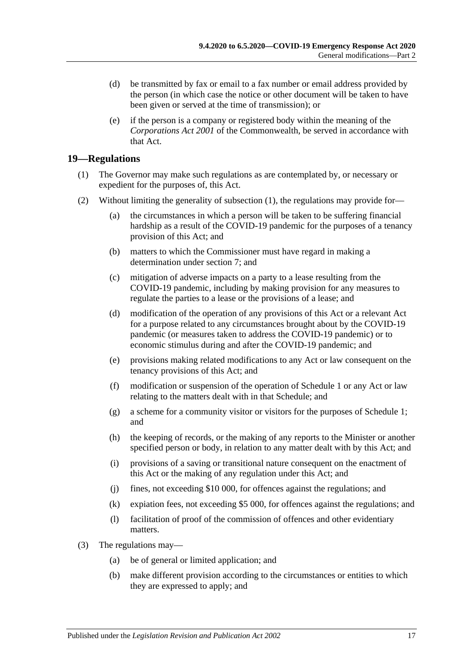- (d) be transmitted by fax or email to a fax number or email address provided by the person (in which case the notice or other document will be taken to have been given or served at the time of transmission); or
- (e) if the person is a company or registered body within the meaning of the *Corporations Act 2001* of the Commonwealth, be served in accordance with that Act.

## <span id="page-16-1"></span><span id="page-16-0"></span>**19—Regulations**

- (1) The Governor may make such regulations as are contemplated by, or necessary or expedient for the purposes of, this Act.
- (2) Without limiting the generality of [subsection](#page-16-1) (1), the regulations may provide for—
	- (a) the circumstances in which a person will be taken to be suffering financial hardship as a result of the COVID-19 pandemic for the purposes of a tenancy provision of this Act; and
	- (b) matters to which the Commissioner must have regard in making a determination under [section](#page-3-1) 7; and
	- (c) mitigation of adverse impacts on a party to a lease resulting from the COVID-19 pandemic, including by making provision for any measures to regulate the parties to a lease or the provisions of a lease; and
	- (d) modification of the operation of any provisions of this Act or a relevant Act for a purpose related to any circumstances brought about by the COVID-19 pandemic (or measures taken to address the COVID-19 pandemic) or to economic stimulus during and after the COVID-19 pandemic; and
	- (e) provisions making related modifications to any Act or law consequent on the tenancy provisions of this Act; and
	- (f) modification or suspension of the operation of [Schedule](#page-19-0) 1 or any Act or law relating to the matters dealt with in that Schedule; and
	- (g) a scheme for a community visitor or visitors for the purposes of [Schedule](#page-19-0) 1; and
	- (h) the keeping of records, or the making of any reports to the Minister or another specified person or body, in relation to any matter dealt with by this Act; and
	- (i) provisions of a saving or transitional nature consequent on the enactment of this Act or the making of any regulation under this Act; and
	- (j) fines, not exceeding \$10 000, for offences against the regulations; and
	- (k) expiation fees, not exceeding \$5 000, for offences against the regulations; and
	- (l) facilitation of proof of the commission of offences and other evidentiary matters.
- (3) The regulations may—
	- (a) be of general or limited application; and
	- (b) make different provision according to the circumstances or entities to which they are expressed to apply; and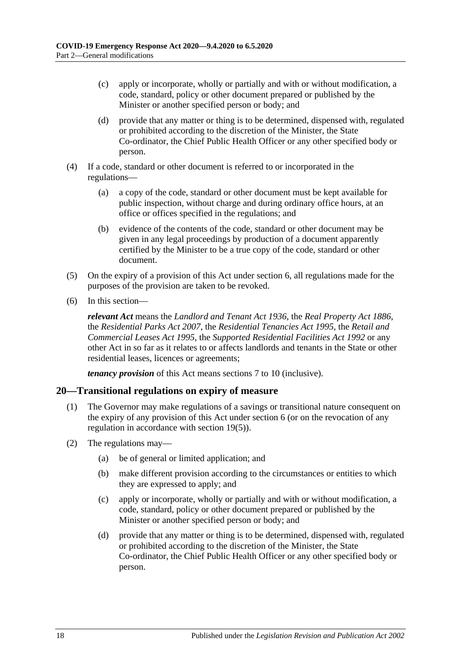- (c) apply or incorporate, wholly or partially and with or without modification, a code, standard, policy or other document prepared or published by the Minister or another specified person or body; and
- (d) provide that any matter or thing is to be determined, dispensed with, regulated or prohibited according to the discretion of the Minister, the State Co-ordinator, the Chief Public Health Officer or any other specified body or person.
- (4) If a code, standard or other document is referred to or incorporated in the regulations—
	- (a) a copy of the code, standard or other document must be kept available for public inspection, without charge and during ordinary office hours, at an office or offices specified in the regulations; and
	- (b) evidence of the contents of the code, standard or other document may be given in any legal proceedings by production of a document apparently certified by the Minister to be a true copy of the code, standard or other document.
- <span id="page-17-1"></span>(5) On the expiry of a provision of this Act under [section](#page-2-6) 6, all regulations made for the purposes of the provision are taken to be revoked.
- (6) In this section—

*relevant Act* means the *[Landlord and Tenant Act](http://www.legislation.sa.gov.au/index.aspx?action=legref&type=act&legtitle=Landlord%20and%20Tenant%20Act%201936) 1936*, the *[Real Property Act](http://www.legislation.sa.gov.au/index.aspx?action=legref&type=act&legtitle=Real%20Property%20Act%201886) 1886*, the *[Residential Parks Act](http://www.legislation.sa.gov.au/index.aspx?action=legref&type=act&legtitle=Residential%20Parks%20Act%202007) 2007*, the *[Residential Tenancies Act](http://www.legislation.sa.gov.au/index.aspx?action=legref&type=act&legtitle=Residential%20Tenancies%20Act%201995) 1995*, the *[Retail and](http://www.legislation.sa.gov.au/index.aspx?action=legref&type=act&legtitle=Retail%20and%20Commercial%20Leases%20Act%201995)  [Commercial Leases Act](http://www.legislation.sa.gov.au/index.aspx?action=legref&type=act&legtitle=Retail%20and%20Commercial%20Leases%20Act%201995) 1995*, the *[Supported Residential Facilities Act](http://www.legislation.sa.gov.au/index.aspx?action=legref&type=act&legtitle=Supported%20Residential%20Facilities%20Act%201992) 1992* or any other Act in so far as it relates to or affects landlords and tenants in the State or other residential leases, licences or agreements;

*tenancy provision* of this Act means [sections](#page-3-1) 7 to [10](#page-10-0) (inclusive).

#### <span id="page-17-0"></span>**20—Transitional regulations on expiry of measure**

- (1) The Governor may make regulations of a savings or transitional nature consequent on the expiry of any provision of this Act under [section](#page-2-6) 6 (or on the revocation of any regulation in accordance with [section](#page-17-1) 19(5)).
- (2) The regulations may—
	- (a) be of general or limited application; and
	- (b) make different provision according to the circumstances or entities to which they are expressed to apply; and
	- (c) apply or incorporate, wholly or partially and with or without modification, a code, standard, policy or other document prepared or published by the Minister or another specified person or body; and
	- (d) provide that any matter or thing is to be determined, dispensed with, regulated or prohibited according to the discretion of the Minister, the State Co-ordinator, the Chief Public Health Officer or any other specified body or person.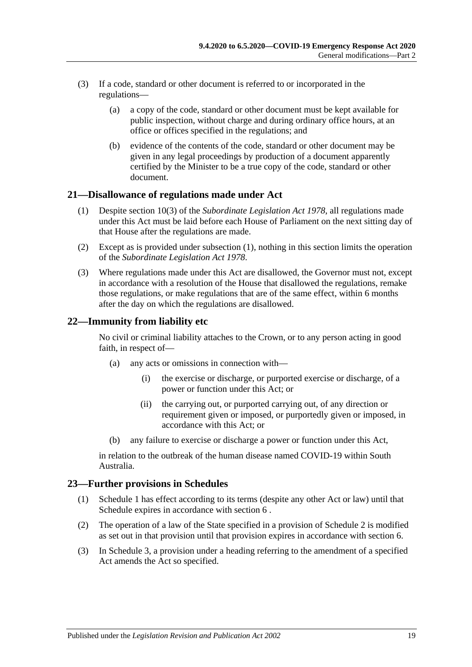- (3) If a code, standard or other document is referred to or incorporated in the regulations—
	- (a) a copy of the code, standard or other document must be kept available for public inspection, without charge and during ordinary office hours, at an office or offices specified in the regulations; and
	- (b) evidence of the contents of the code, standard or other document may be given in any legal proceedings by production of a document apparently certified by the Minister to be a true copy of the code, standard or other document.

#### <span id="page-18-3"></span><span id="page-18-0"></span>**21—Disallowance of regulations made under Act**

- (1) Despite section 10(3) of the *[Subordinate Legislation Act](http://www.legislation.sa.gov.au/index.aspx?action=legref&type=act&legtitle=Subordinate%20Legislation%20Act%201978) 1978*, all regulations made under this Act must be laid before each House of Parliament on the next sitting day of that House after the regulations are made.
- (2) Except as is provided under [subsection](#page-18-3) (1), nothing in this section limits the operation of the *[Subordinate Legislation Act](http://www.legislation.sa.gov.au/index.aspx?action=legref&type=act&legtitle=Subordinate%20Legislation%20Act%201978) 1978*.
- (3) Where regulations made under this Act are disallowed, the Governor must not, except in accordance with a resolution of the House that disallowed the regulations, remake those regulations, or make regulations that are of the same effect, within 6 months after the day on which the regulations are disallowed.

## <span id="page-18-1"></span>**22—Immunity from liability etc**

No civil or criminal liability attaches to the Crown, or to any person acting in good faith, in respect of—

- (a) any acts or omissions in connection with—
	- (i) the exercise or discharge, or purported exercise or discharge, of a power or function under this Act; or
	- (ii) the carrying out, or purported carrying out, of any direction or requirement given or imposed, or purportedly given or imposed, in accordance with this Act; or
- (b) any failure to exercise or discharge a power or function under this Act,

in relation to the outbreak of the human disease named COVID-19 within South Australia.

#### <span id="page-18-2"></span>**23—Further provisions in Schedules**

- (1) [Schedule](#page-19-0) 1 has effect according to its terms (despite any other Act or law) until that Schedule expires in accordance with [section](#page-2-6) 6 .
- (2) The operation of a law of the State specified in a provision of [Schedule](#page-27-2) 2 is modified as set out in that provision until that provision expires in accordance with [section](#page-2-6) 6.
- (3) In [Schedule](#page-32-0) 3, a provision under a heading referring to the amendment of a specified Act amends the Act so specified.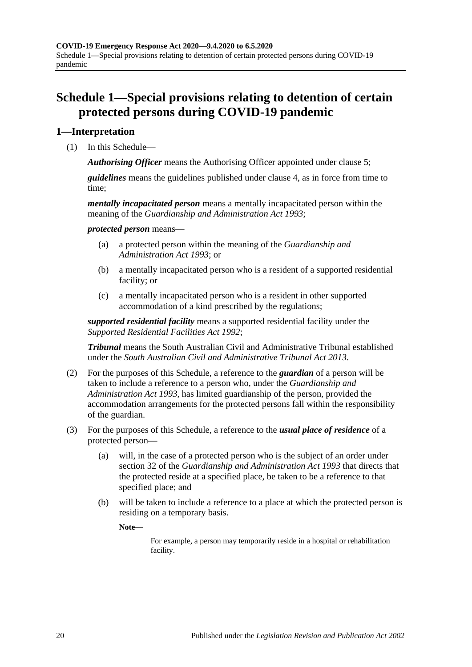# <span id="page-19-0"></span>**Schedule 1—Special provisions relating to detention of certain protected persons during COVID-19 pandemic**

## <span id="page-19-1"></span>**1—Interpretation**

(1) In this Schedule—

*Authorising Officer* means the Authorising Officer appointed under [clause](#page-20-3) 5;

*guidelines* means the guidelines published under [clause](#page-20-2) 4, as in force from time to time;

*mentally incapacitated person* means a mentally incapacitated person within the meaning of the *[Guardianship and Administration Act](http://www.legislation.sa.gov.au/index.aspx?action=legref&type=act&legtitle=Guardianship%20and%20Administration%20Act%201993) 1993*;

*protected person* means—

- (a) a protected person within the meaning of the *[Guardianship and](http://www.legislation.sa.gov.au/index.aspx?action=legref&type=act&legtitle=Guardianship%20and%20Administration%20Act%201993)  [Administration Act](http://www.legislation.sa.gov.au/index.aspx?action=legref&type=act&legtitle=Guardianship%20and%20Administration%20Act%201993) 1993*; or
- (b) a mentally incapacitated person who is a resident of a supported residential facility; or
- (c) a mentally incapacitated person who is a resident in other supported accommodation of a kind prescribed by the regulations;

*supported residential facility* means a supported residential facility under the *[Supported Residential Facilities Act](http://www.legislation.sa.gov.au/index.aspx?action=legref&type=act&legtitle=Supported%20Residential%20Facilities%20Act%201992) 1992*;

*Tribunal* means the South Australian Civil and Administrative Tribunal established under the *[South Australian Civil and Administrative Tribunal Act](http://www.legislation.sa.gov.au/index.aspx?action=legref&type=act&legtitle=South%20Australian%20Civil%20and%20Administrative%20Tribunal%20Act%202013) 2013*.

- (2) For the purposes of this Schedule, a reference to the *guardian* of a person will be taken to include a reference to a person who, under the *[Guardianship and](http://www.legislation.sa.gov.au/index.aspx?action=legref&type=act&legtitle=Guardianship%20and%20Administration%20Act%201993)  [Administration Act](http://www.legislation.sa.gov.au/index.aspx?action=legref&type=act&legtitle=Guardianship%20and%20Administration%20Act%201993) 1993*, has limited guardianship of the person, provided the accommodation arrangements for the protected persons fall within the responsibility of the guardian.
- (3) For the purposes of this Schedule, a reference to the *usual place of residence* of a protected person—
	- (a) will, in the case of a protected person who is the subject of an order under section 32 of the *[Guardianship and Administration Act](http://www.legislation.sa.gov.au/index.aspx?action=legref&type=act&legtitle=Guardianship%20and%20Administration%20Act%201993) 1993* that directs that the protected reside at a specified place, be taken to be a reference to that specified place; and
	- (b) will be taken to include a reference to a place at which the protected person is residing on a temporary basis.

**Note—**

For example, a person may temporarily reside in a hospital or rehabilitation facility.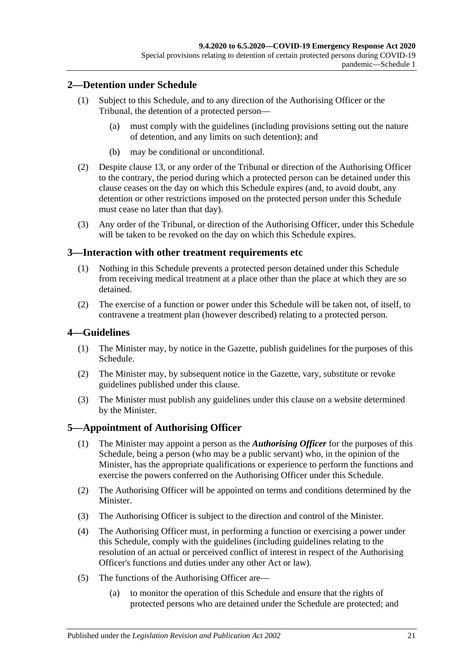## <span id="page-20-0"></span>**2—Detention under Schedule**

- (1) Subject to this Schedule, and to any direction of the Authorising Officer or the Tribunal, the detention of a protected person—
	- (a) must comply with the guidelines (including provisions setting out the nature of detention, and any limits on such detention); and
	- (b) may be conditional or unconditional.
- (2) Despite [clause](#page-25-0) 13, or any order of the Tribunal or direction of the Authorising Officer to the contrary, the period during which a protected person can be detained under this clause ceases on the day on which this Schedule expires (and, to avoid doubt, any detention or other restrictions imposed on the protected person under this Schedule must cease no later than that day).
- (3) Any order of the Tribunal, or direction of the Authorising Officer, under this Schedule will be taken to be revoked on the day on which this Schedule expires.

#### <span id="page-20-1"></span>**3—Interaction with other treatment requirements etc**

- (1) Nothing in this Schedule prevents a protected person detained under this Schedule from receiving medical treatment at a place other than the place at which they are so detained.
- (2) The exercise of a function or power under this Schedule will be taken not, of itself, to contravene a treatment plan (however described) relating to a protected person.

#### <span id="page-20-2"></span>**4—Guidelines**

- (1) The Minister may, by notice in the Gazette, publish guidelines for the purposes of this Schedule.
- (2) The Minister may, by subsequent notice in the Gazette, vary, substitute or revoke guidelines published under this clause.
- (3) The Minister must publish any guidelines under this clause on a website determined by the Minister.

#### <span id="page-20-3"></span>**5—Appointment of Authorising Officer**

- (1) The Minister may appoint a person as the *Authorising Officer* for the purposes of this Schedule, being a person (who may be a public servant) who, in the opinion of the Minister, has the appropriate qualifications or experience to perform the functions and exercise the powers conferred on the Authorising Officer under this Schedule.
- (2) The Authorising Officer will be appointed on terms and conditions determined by the Minister.
- (3) The Authorising Officer is subject to the direction and control of the Minister.
- (4) The Authorising Officer must, in performing a function or exercising a power under this Schedule, comply with the guidelines (including guidelines relating to the resolution of an actual or perceived conflict of interest in respect of the Authorising Officer's functions and duties under any other Act or law).
- (5) The functions of the Authorising Officer are—
	- (a) to monitor the operation of this Schedule and ensure that the rights of protected persons who are detained under the Schedule are protected; and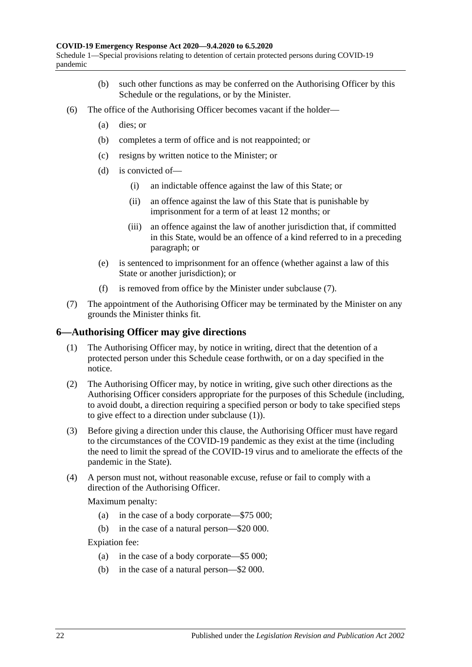- (b) such other functions as may be conferred on the Authorising Officer by this Schedule or the regulations, or by the Minister.
- (6) The office of the Authorising Officer becomes vacant if the holder—
	- (a) dies; or
	- (b) completes a term of office and is not reappointed; or
	- (c) resigns by written notice to the Minister; or
	- (d) is convicted of—
		- (i) an indictable offence against the law of this State; or
		- (ii) an offence against the law of this State that is punishable by imprisonment for a term of at least 12 months; or
		- (iii) an offence against the law of another jurisdiction that, if committed in this State, would be an offence of a kind referred to in a preceding paragraph; or
	- (e) is sentenced to imprisonment for an offence (whether against a law of this State or another jurisdiction); or
	- (f) is removed from office by the Minister under [subclause](#page-21-1) (7).
- <span id="page-21-1"></span>(7) The appointment of the Authorising Officer may be terminated by the Minister on any grounds the Minister thinks fit.

#### <span id="page-21-2"></span><span id="page-21-0"></span>**6—Authorising Officer may give directions**

- (1) The Authorising Officer may, by notice in writing, direct that the detention of a protected person under this Schedule cease forthwith, or on a day specified in the notice.
- (2) The Authorising Officer may, by notice in writing, give such other directions as the Authorising Officer considers appropriate for the purposes of this Schedule (including, to avoid doubt, a direction requiring a specified person or body to take specified steps to give effect to a direction under [subclause](#page-21-2) (1)).
- (3) Before giving a direction under this clause, the Authorising Officer must have regard to the circumstances of the COVID-19 pandemic as they exist at the time (including the need to limit the spread of the COVID-19 virus and to ameliorate the effects of the pandemic in the State).
- (4) A person must not, without reasonable excuse, refuse or fail to comply with a direction of the Authorising Officer.

Maximum penalty:

- (a) in the case of a body corporate—\$75 000;
- (b) in the case of a natural person—\$20 000.

Expiation fee:

- (a) in the case of a body corporate—\$5 000;
- (b) in the case of a natural person—\$2 000.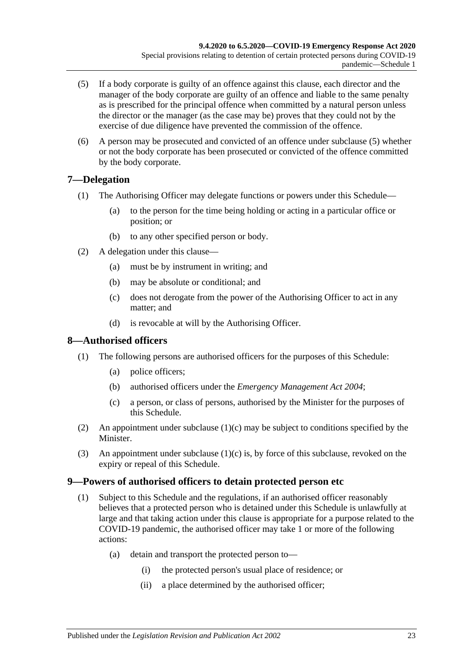- <span id="page-22-3"></span>(5) If a body corporate is guilty of an offence against this clause, each director and the manager of the body corporate are guilty of an offence and liable to the same penalty as is prescribed for the principal offence when committed by a natural person unless the director or the manager (as the case may be) proves that they could not by the exercise of due diligence have prevented the commission of the offence.
- (6) A person may be prosecuted and convicted of an offence under [subclause](#page-22-3) (5) whether or not the body corporate has been prosecuted or convicted of the offence committed by the body corporate.

## <span id="page-22-0"></span>**7—Delegation**

- (1) The Authorising Officer may delegate functions or powers under this Schedule—
	- (a) to the person for the time being holding or acting in a particular office or position; or
	- (b) to any other specified person or body.
- (2) A delegation under this clause—
	- (a) must be by instrument in writing; and
	- (b) may be absolute or conditional; and
	- (c) does not derogate from the power of the Authorising Officer to act in any matter; and
	- (d) is revocable at will by the Authorising Officer.

## <span id="page-22-1"></span>**8—Authorised officers**

- (1) The following persons are authorised officers for the purposes of this Schedule:
	- (a) police officers;
	- (b) authorised officers under the *[Emergency Management Act](http://www.legislation.sa.gov.au/index.aspx?action=legref&type=act&legtitle=Emergency%20Management%20Act%202004) 2004*;
	- (c) a person, or class of persons, authorised by the Minister for the purposes of this Schedule.
- <span id="page-22-4"></span>(2) An appointment under [subclause](#page-22-4)  $(1)(c)$  may be subject to conditions specified by the Minister.
- (3) An appointment under [subclause](#page-22-4)  $(1)(c)$  is, by force of this subclause, revoked on the expiry or repeal of this Schedule.

#### <span id="page-22-2"></span>**9—Powers of authorised officers to detain protected person etc**

- (1) Subject to this Schedule and the regulations, if an authorised officer reasonably believes that a protected person who is detained under this Schedule is unlawfully at large and that taking action under this clause is appropriate for a purpose related to the COVID-19 pandemic, the authorised officer may take 1 or more of the following actions:
	- (a) detain and transport the protected person to—
		- (i) the protected person's usual place of residence; or
		- (ii) a place determined by the authorised officer;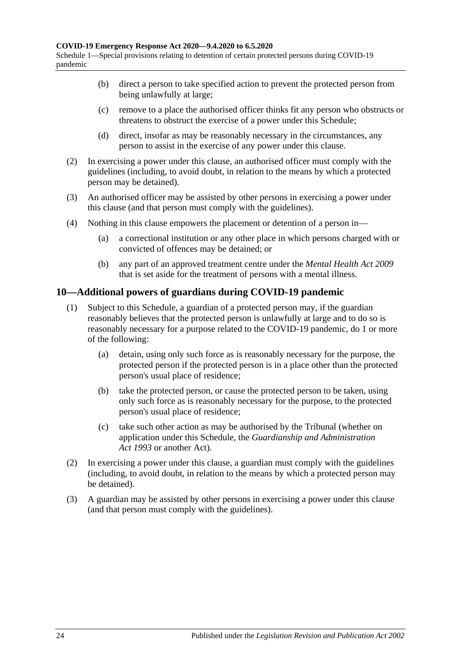- (b) direct a person to take specified action to prevent the protected person from being unlawfully at large;
- (c) remove to a place the authorised officer thinks fit any person who obstructs or threatens to obstruct the exercise of a power under this Schedule;
- (d) direct, insofar as may be reasonably necessary in the circumstances, any person to assist in the exercise of any power under this clause.
- (2) In exercising a power under this clause, an authorised officer must comply with the guidelines (including, to avoid doubt, in relation to the means by which a protected person may be detained).
- (3) An authorised officer may be assisted by other persons in exercising a power under this clause (and that person must comply with the guidelines).
- (4) Nothing in this clause empowers the placement or detention of a person in—
	- (a) a correctional institution or any other place in which persons charged with or convicted of offences may be detained; or
	- (b) any part of an approved treatment centre under the *[Mental Health Act](http://www.legislation.sa.gov.au/index.aspx?action=legref&type=act&legtitle=Mental%20Health%20Act%202009) 2009* that is set aside for the treatment of persons with a mental illness.

#### <span id="page-23-0"></span>**10—Additional powers of guardians during COVID-19 pandemic**

- (1) Subject to this Schedule, a guardian of a protected person may, if the guardian reasonably believes that the protected person is unlawfully at large and to do so is reasonably necessary for a purpose related to the COVID-19 pandemic, do 1 or more of the following:
	- (a) detain, using only such force as is reasonably necessary for the purpose, the protected person if the protected person is in a place other than the protected person's usual place of residence;
	- (b) take the protected person, or cause the protected person to be taken, using only such force as is reasonably necessary for the purpose, to the protected person's usual place of residence;
	- (c) take such other action as may be authorised by the Tribunal (whether on application under this Schedule, the *[Guardianship and Administration](http://www.legislation.sa.gov.au/index.aspx?action=legref&type=act&legtitle=Guardianship%20and%20Administration%20Act%201993)  Act [1993](http://www.legislation.sa.gov.au/index.aspx?action=legref&type=act&legtitle=Guardianship%20and%20Administration%20Act%201993)* or another Act).
- (2) In exercising a power under this clause, a guardian must comply with the guidelines (including, to avoid doubt, in relation to the means by which a protected person may be detained).
- (3) A guardian may be assisted by other persons in exercising a power under this clause (and that person must comply with the guidelines).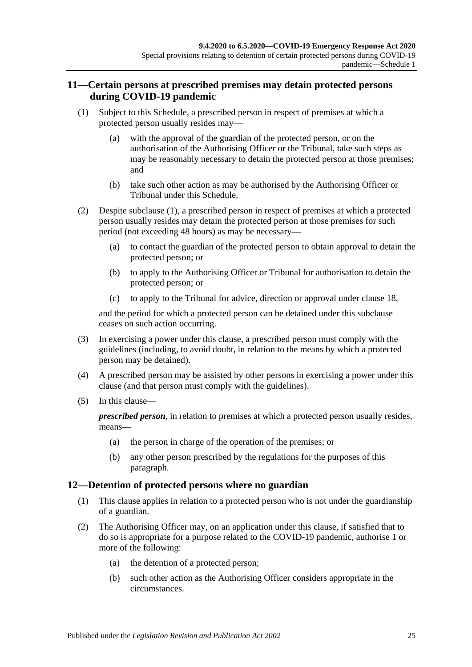## <span id="page-24-0"></span>**11—Certain persons at prescribed premises may detain protected persons during COVID-19 pandemic**

- <span id="page-24-3"></span><span id="page-24-2"></span>(1) Subject to this Schedule, a prescribed person in respect of premises at which a protected person usually resides may—
	- (a) with the approval of the guardian of the protected person, or on the authorisation of the Authorising Officer or the Tribunal, take such steps as may be reasonably necessary to detain the protected person at those premises; and
	- (b) take such other action as may be authorised by the Authorising Officer or Tribunal under this Schedule.
- (2) Despite [subclause](#page-24-2) (1), a prescribed person in respect of premises at which a protected person usually resides may detain the protected person at those premises for such period (not exceeding 48 hours) as may be necessary—
	- (a) to contact the guardian of the protected person to obtain approval to detain the protected person; or
	- (b) to apply to the Authorising Officer or Tribunal for authorisation to detain the protected person; or
	- (c) to apply to the Tribunal for advice, direction or approval under [clause](#page-27-0) 18,

and the period for which a protected person can be detained under this subclause ceases on such action occurring.

- (3) In exercising a power under this clause, a prescribed person must comply with the guidelines (including, to avoid doubt, in relation to the means by which a protected person may be detained).
- (4) A prescribed person may be assisted by other persons in exercising a power under this clause (and that person must comply with the guidelines).
- (5) In this clause—

*prescribed person*, in relation to premises at which a protected person usually resides, means—

- (a) the person in charge of the operation of the premises; or
- (b) any other person prescribed by the regulations for the purposes of this paragraph.

## <span id="page-24-1"></span>**12—Detention of protected persons where no guardian**

- (1) This clause applies in relation to a protected person who is not under the guardianship of a guardian.
- (2) The Authorising Officer may, on an application under this clause, if satisfied that to do so is appropriate for a purpose related to the COVID-19 pandemic, authorise 1 or more of the following:
	- (a) the detention of a protected person;
	- (b) such other action as the Authorising Officer considers appropriate in the circumstances.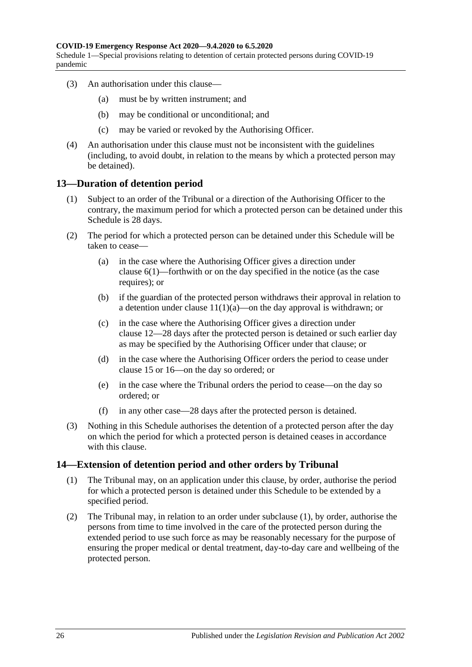Schedule 1—Special provisions relating to detention of certain protected persons during COVID-19 pandemic

- (3) An authorisation under this clause—
	- (a) must be by written instrument; and
	- (b) may be conditional or unconditional; and
	- (c) may be varied or revoked by the Authorising Officer.
- (4) An authorisation under this clause must not be inconsistent with the guidelines (including, to avoid doubt, in relation to the means by which a protected person may be detained).

#### <span id="page-25-0"></span>**13—Duration of detention period**

- (1) Subject to an order of the Tribunal or a direction of the Authorising Officer to the contrary, the maximum period for which a protected person can be detained under this Schedule is 28 days.
- (2) The period for which a protected person can be detained under this Schedule will be taken to cease—
	- (a) in the case where the Authorising Officer gives a direction under [clause](#page-21-2) 6(1)—forthwith or on the day specified in the notice (as the case requires); or
	- (b) if the guardian of the protected person withdraws their approval in relation to a detention under clause  $11(1)(a)$ —on the day approval is withdrawn; or
	- (c) in the case where the Authorising Officer gives a direction under [clause](#page-24-1) 12—28 days after the protected person is detained or such earlier day as may be specified by the Authorising Officer under that clause; or
	- (d) in the case where the Authorising Officer orders the period to cease under [clause](#page-26-0) 15 or [16—](#page-26-1)on the day so ordered; or
	- (e) in the case where the Tribunal orders the period to cease—on the day so ordered; or
	- (f) in any other case—28 days after the protected person is detained.
- (3) Nothing in this Schedule authorises the detention of a protected person after the day on which the period for which a protected person is detained ceases in accordance with this clause.

#### <span id="page-25-2"></span><span id="page-25-1"></span>**14—Extension of detention period and other orders by Tribunal**

- (1) The Tribunal may, on an application under this clause, by order, authorise the period for which a protected person is detained under this Schedule to be extended by a specified period.
- (2) The Tribunal may, in relation to an order under [subclause](#page-25-2) (1), by order, authorise the persons from time to time involved in the care of the protected person during the extended period to use such force as may be reasonably necessary for the purpose of ensuring the proper medical or dental treatment, day-to-day care and wellbeing of the protected person.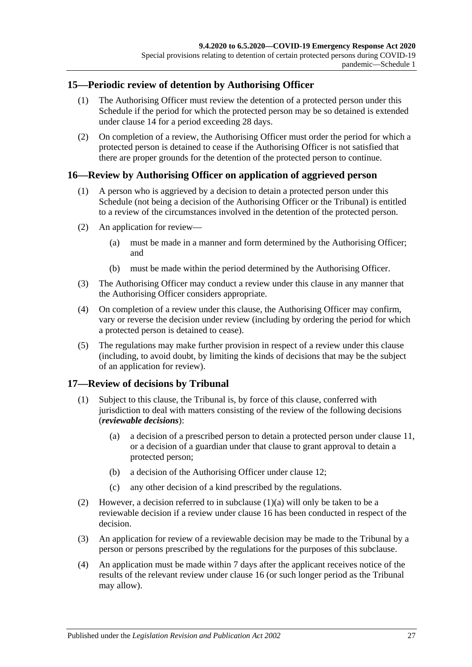## <span id="page-26-0"></span>**15—Periodic review of detention by Authorising Officer**

- (1) The Authorising Officer must review the detention of a protected person under this Schedule if the period for which the protected person may be so detained is extended under [clause](#page-25-1) 14 for a period exceeding 28 days.
- (2) On completion of a review, the Authorising Officer must order the period for which a protected person is detained to cease if the Authorising Officer is not satisfied that there are proper grounds for the detention of the protected person to continue.

## <span id="page-26-1"></span>**16—Review by Authorising Officer on application of aggrieved person**

- (1) A person who is aggrieved by a decision to detain a protected person under this Schedule (not being a decision of the Authorising Officer or the Tribunal) is entitled to a review of the circumstances involved in the detention of the protected person.
- (2) An application for review—
	- (a) must be made in a manner and form determined by the Authorising Officer; and
	- (b) must be made within the period determined by the Authorising Officer.
- (3) The Authorising Officer may conduct a review under this clause in any manner that the Authorising Officer considers appropriate.
- (4) On completion of a review under this clause, the Authorising Officer may confirm, vary or reverse the decision under review (including by ordering the period for which a protected person is detained to cease).
- (5) The regulations may make further provision in respect of a review under this clause (including, to avoid doubt, by limiting the kinds of decisions that may be the subject of an application for review).

## <span id="page-26-2"></span>**17—Review of decisions by Tribunal**

- <span id="page-26-3"></span>(1) Subject to this clause, the Tribunal is, by force of this clause, conferred with jurisdiction to deal with matters consisting of the review of the following decisions (*reviewable decisions*):
	- (a) a decision of a prescribed person to detain a protected person under [clause](#page-24-0) 11, or a decision of a guardian under that clause to grant approval to detain a protected person;
	- (b) a decision of the Authorising Officer under [clause](#page-24-1) 12;
	- (c) any other decision of a kind prescribed by the regulations.
- (2) However, a decision referred to in [subclause](#page-26-3)  $(1)(a)$  will only be taken to be a reviewable decision if a review under [clause](#page-26-1) 16 has been conducted in respect of the decision.
- (3) An application for review of a reviewable decision may be made to the Tribunal by a person or persons prescribed by the regulations for the purposes of this subclause.
- (4) An application must be made within 7 days after the applicant receives notice of the results of the relevant review under [clause](#page-26-1) 16 (or such longer period as the Tribunal may allow).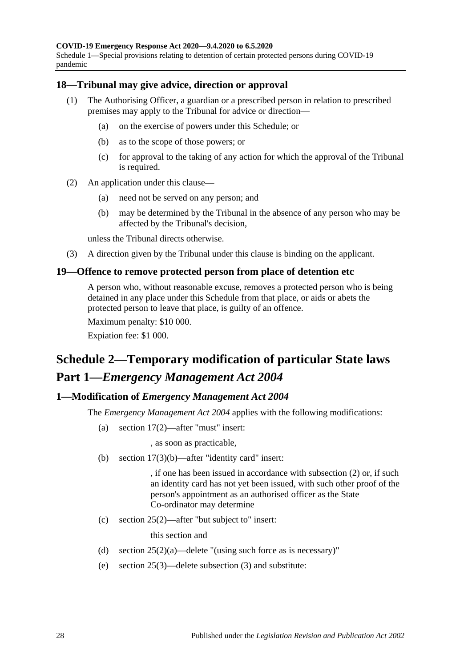Schedule 1—Special provisions relating to detention of certain protected persons during COVID-19 pandemic

#### <span id="page-27-0"></span>**18—Tribunal may give advice, direction or approval**

- (1) The Authorising Officer, a guardian or a prescribed person in relation to prescribed premises may apply to the Tribunal for advice or direction—
	- (a) on the exercise of powers under this Schedule; or
	- (b) as to the scope of those powers; or
	- (c) for approval to the taking of any action for which the approval of the Tribunal is required.
- (2) An application under this clause—
	- (a) need not be served on any person; and
	- (b) may be determined by the Tribunal in the absence of any person who may be affected by the Tribunal's decision,

unless the Tribunal directs otherwise.

(3) A direction given by the Tribunal under this clause is binding on the applicant.

#### <span id="page-27-1"></span>**19—Offence to remove protected person from place of detention etc**

A person who, without reasonable excuse, removes a protected person who is being detained in any place under this Schedule from that place, or aids or abets the protected person to leave that place, is guilty of an offence.

Maximum penalty: \$10 000.

Expiation fee: \$1 000.

# <span id="page-27-2"></span>**Schedule 2—Temporary modification of particular State laws Part 1—***Emergency Management Act 2004*

#### <span id="page-27-3"></span>**1—Modification of** *Emergency Management Act 2004*

The *[Emergency Management Act](http://www.legislation.sa.gov.au/index.aspx?action=legref&type=act&legtitle=Emergency%20Management%20Act%202004) 2004* applies with the following modifications:

(a) section 17(2)—after "must" insert:

, as soon as practicable,

(b) section 17(3)(b)—after "identity card" insert:

, if one has been issued in accordance with subsection (2) or, if such an identity card has not yet been issued, with such other proof of the person's appointment as an authorised officer as the State Co-ordinator may determine

(c) section 25(2)—after "but subject to" insert:

this section and

- (d) section  $25(2)(a)$ —delete "(using such force as is necessary)"
- (e) section 25(3)—delete subsection (3) and substitute: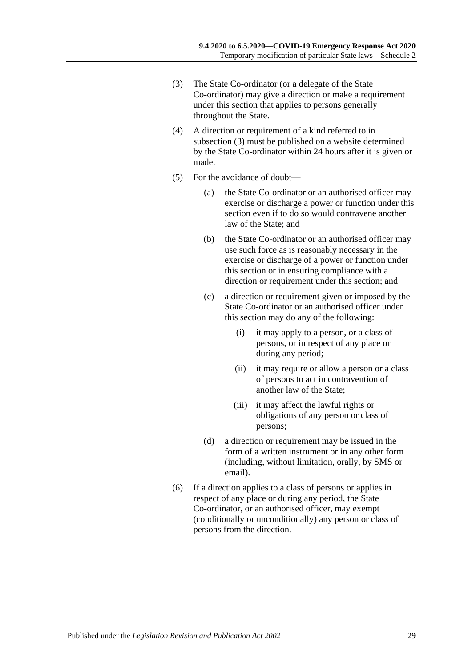- <span id="page-28-0"></span>(3) The State Co-ordinator (or a delegate of the State Co-ordinator) may give a direction or make a requirement under this section that applies to persons generally throughout the State.
- (4) A direction or requirement of a kind referred to in [subsection](#page-28-0) (3) must be published on a website determined by the State Co-ordinator within 24 hours after it is given or made.
- (5) For the avoidance of doubt—
	- (a) the State Co-ordinator or an authorised officer may exercise or discharge a power or function under this section even if to do so would contravene another law of the State; and
	- (b) the State Co-ordinator or an authorised officer may use such force as is reasonably necessary in the exercise or discharge of a power or function under this section or in ensuring compliance with a direction or requirement under this section; and
	- (c) a direction or requirement given or imposed by the State Co-ordinator or an authorised officer under this section may do any of the following:
		- (i) it may apply to a person, or a class of persons, or in respect of any place or during any period;
		- (ii) it may require or allow a person or a class of persons to act in contravention of another law of the State;
		- (iii) it may affect the lawful rights or obligations of any person or class of persons;
	- (d) a direction or requirement may be issued in the form of a written instrument or in any other form (including, without limitation, orally, by SMS or email).
- (6) If a direction applies to a class of persons or applies in respect of any place or during any period, the State Co-ordinator, or an authorised officer, may exempt (conditionally or unconditionally) any person or class of persons from the direction.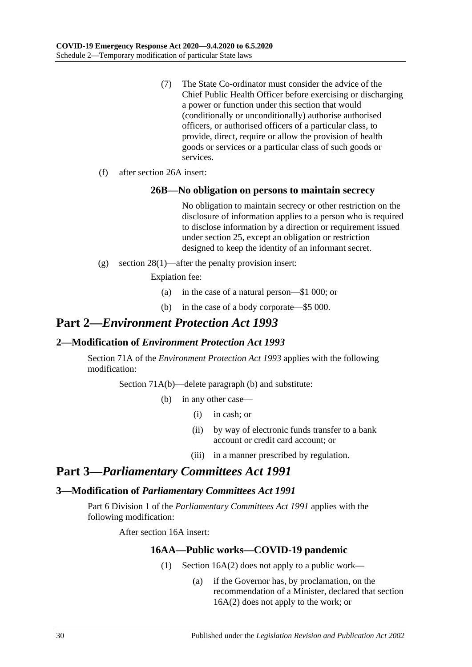- (7) The State Co-ordinator must consider the advice of the Chief Public Health Officer before exercising or discharging a power or function under this section that would (conditionally or unconditionally) authorise authorised officers, or authorised officers of a particular class, to provide, direct, require or allow the provision of health goods or services or a particular class of such goods or services.
- (f) after section 26A insert:

#### **26B—No obligation on persons to maintain secrecy**

No obligation to maintain secrecy or other restriction on the disclosure of information applies to a person who is required to disclose information by a direction or requirement issued under section 25, except an obligation or restriction designed to keep the identity of an informant secret.

(g) section 28(1)—after the penalty provision insert:

Expiation fee:

- (a) in the case of a natural person—\$1 000; or
- (b) in the case of a body corporate—\$5 000.

# **Part 2—***Environment Protection Act 1993*

#### <span id="page-29-0"></span>**2—Modification of** *Environment Protection Act 1993*

Section 71A of the *[Environment Protection Act](http://www.legislation.sa.gov.au/index.aspx?action=legref&type=act&legtitle=Environment%20Protection%20Act%201993) 1993* applies with the following modification:

Section 71A(b)—delete paragraph (b) and substitute:

- (b) in any other case—
	- (i) in cash; or
	- (ii) by way of electronic funds transfer to a bank account or credit card account; or
	- (iii) in a manner prescribed by regulation.

## **Part 3—***Parliamentary Committees Act 1991*

#### <span id="page-29-1"></span>**3—Modification of** *Parliamentary Committees Act 1991*

<span id="page-29-2"></span>Part 6 Division 1 of the *[Parliamentary Committees Act](http://www.legislation.sa.gov.au/index.aspx?action=legref&type=act&legtitle=Parliamentary%20Committees%20Act%201991) 1991* applies with the following modification:

After section 16A insert:

#### **16AA—Public works—COVID-19 pandemic**

- (1) Section 16A(2) does not apply to a public work—
	- (a) if the Governor has, by proclamation, on the recommendation of a Minister, declared that section 16A(2) does not apply to the work; or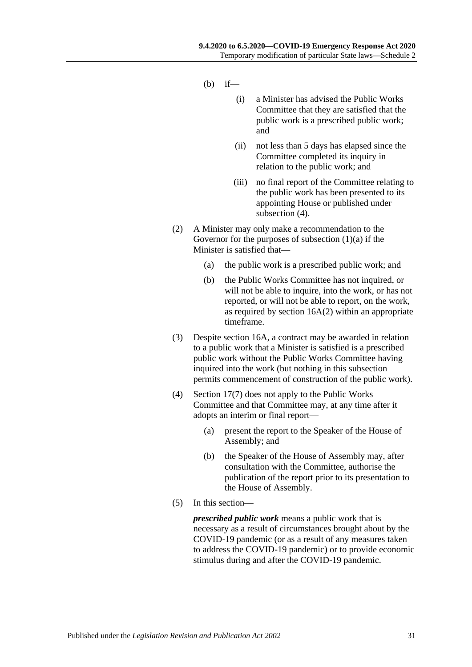- $(h)$  if—
	- (i) a Minister has advised the Public Works Committee that they are satisfied that the public work is a prescribed public work; and
	- (ii) not less than 5 days has elapsed since the Committee completed its inquiry in relation to the public work; and
	- (iii) no final report of the Committee relating to the public work has been presented to its appointing House or published under [subsection](#page-30-0)  $(4)$ .
- (2) A Minister may only make a recommendation to the Governor for the purposes of [subsection](#page-29-2)  $(1)(a)$  if the Minister is satisfied that—
	- (a) the public work is a prescribed public work; and
	- (b) the Public Works Committee has not inquired, or will not be able to inquire, into the work, or has not reported, or will not be able to report, on the work, as required by section 16A(2) within an appropriate timeframe.
- (3) Despite section 16A, a contract may be awarded in relation to a public work that a Minister is satisfied is a prescribed public work without the Public Works Committee having inquired into the work (but nothing in this subsection permits commencement of construction of the public work).
- <span id="page-30-0"></span>(4) Section 17(7) does not apply to the Public Works Committee and that Committee may, at any time after it adopts an interim or final report—
	- (a) present the report to the Speaker of the House of Assembly; and
	- (b) the Speaker of the House of Assembly may, after consultation with the Committee, authorise the publication of the report prior to its presentation to the House of Assembly.
- (5) In this section—

*prescribed public work* means a public work that is necessary as a result of circumstances brought about by the COVID-19 pandemic (or as a result of any measures taken to address the COVID-19 pandemic) or to provide economic stimulus during and after the COVID-19 pandemic.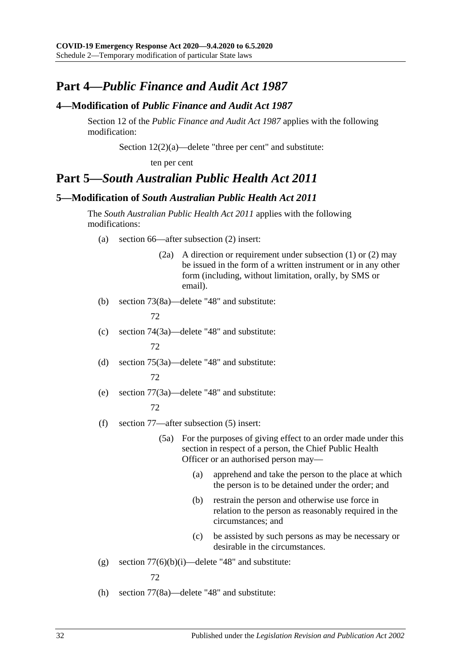# **Part 4—***Public Finance and Audit Act 1987*

## <span id="page-31-0"></span>**4—Modification of** *Public Finance and Audit Act 1987*

Section 12 of the *[Public Finance and Audit Act](http://www.legislation.sa.gov.au/index.aspx?action=legref&type=act&legtitle=Public%20Finance%20and%20Audit%20Act%201987) 1987* applies with the following modification:

Section 12(2)(a)—delete "three per cent" and substitute:

ten per cent

## **Part 5—***South Australian Public Health Act 2011*

## <span id="page-31-1"></span>**5—Modification of** *South Australian Public Health Act 2011*

The *[South Australian Public Health Act](http://www.legislation.sa.gov.au/index.aspx?action=legref&type=act&legtitle=South%20Australian%20Public%20Health%20Act%202011) 2011* applies with the following modifications:

- (a) section 66—after subsection (2) insert:
	- (2a) A direction or requirement under subsection (1) or (2) may be issued in the form of a written instrument or in any other form (including, without limitation, orally, by SMS or email).
- (b) section 73(8a)—delete "48" and substitute:

72

(c) section 74(3a)—delete "48" and substitute:

72

- (d) section 75(3a)—delete "48" and substitute: 72
- (e) section 77(3a)—delete "48" and substitute:

#### 72

- (f) section 77—after subsection (5) insert:
	- (5a) For the purposes of giving effect to an order made under this section in respect of a person, the Chief Public Health Officer or an authorised person may—
		- (a) apprehend and take the person to the place at which the person is to be detained under the order; and
		- (b) restrain the person and otherwise use force in relation to the person as reasonably required in the circumstances; and
		- (c) be assisted by such persons as may be necessary or desirable in the circumstances.
- (g) section  $77(6)(b)(i)$ —delete "48" and substitute:

72

(h) section 77(8a)—delete "48" and substitute: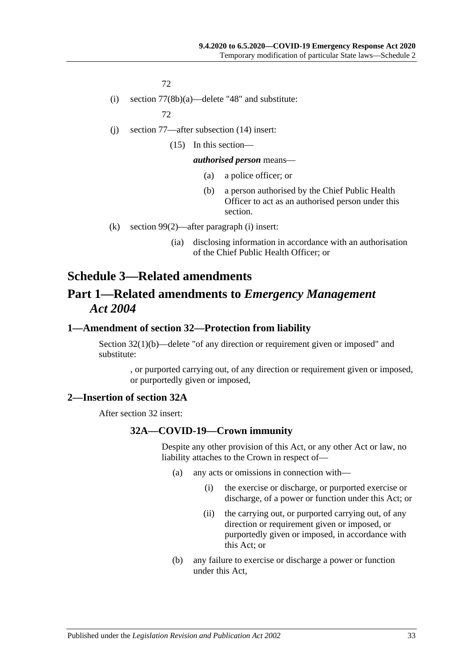72

(i) section 77(8b)(a)—delete "48" and substitute:

72

- (j) section 77—after subsection (14) insert:
	- (15) In this section—

#### *authorised person* means—

- (a) a police officer; or
- (b) a person authorised by the Chief Public Health Officer to act as an authorised person under this section.
- (k) section 99(2)—after paragraph (i) insert:
	- (ia) disclosing information in accordance with an authorisation of the Chief Public Health Officer; or

# <span id="page-32-0"></span>**Schedule 3—Related amendments Part 1—Related amendments to** *Emergency Management Act 2004*

## <span id="page-32-1"></span>**1—Amendment of section 32—Protection from liability**

Section 32(1)(b)—delete "of any direction or requirement given or imposed" and substitute:

> , or purported carrying out, of any direction or requirement given or imposed, or purportedly given or imposed,

#### <span id="page-32-2"></span>**2—Insertion of section 32A**

After section 32 insert:

#### **32A—COVID-19—Crown immunity**

Despite any other provision of this Act, or any other Act or law, no liability attaches to the Crown in respect of—

- (a) any acts or omissions in connection with—
	- (i) the exercise or discharge, or purported exercise or discharge, of a power or function under this Act; or
	- (ii) the carrying out, or purported carrying out, of any direction or requirement given or imposed, or purportedly given or imposed, in accordance with this Act; or
- (b) any failure to exercise or discharge a power or function under this Act,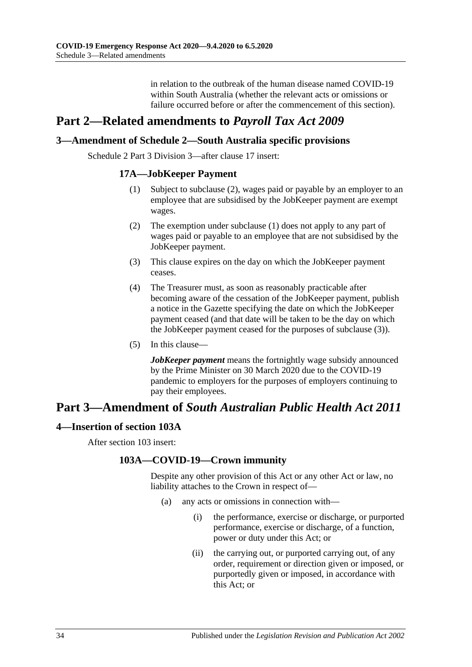in relation to the outbreak of the human disease named COVID-19 within South Australia (whether the relevant acts or omissions or failure occurred before or after the commencement of this section).

# **Part 2—Related amendments to** *Payroll Tax Act 2009*

## <span id="page-33-0"></span>**3—Amendment of Schedule 2—South Australia specific provisions**

<span id="page-33-3"></span><span id="page-33-2"></span>Schedule 2 Part 3 Division 3—after clause 17 insert:

#### **17A—JobKeeper Payment**

- (1) Subject to [subclause](#page-33-2) (2), wages paid or payable by an employer to an employee that are subsidised by the JobKeeper payment are exempt wages.
- (2) The exemption under [subclause](#page-33-3) (1) does not apply to any part of wages paid or payable to an employee that are not subsidised by the JobKeeper payment.
- <span id="page-33-4"></span>(3) This clause expires on the day on which the JobKeeper payment ceases.
- (4) The Treasurer must, as soon as reasonably practicable after becoming aware of the cessation of the JobKeeper payment, publish a notice in the Gazette specifying the date on which the JobKeeper payment ceased (and that date will be taken to be the day on which the JobKeeper payment ceased for the purposes of [subclause](#page-33-4) (3)).
- (5) In this clause—

*JobKeeper payment* means the fortnightly wage subsidy announced by the Prime Minister on 30 March 2020 due to the COVID-19 pandemic to employers for the purposes of employers continuing to pay their employees.

# **Part 3—Amendment of** *South Australian Public Health Act 2011*

#### <span id="page-33-1"></span>**4—Insertion of section 103A**

After section 103 insert:

#### **103A—COVID-19—Crown immunity**

Despite any other provision of this Act or any other Act or law, no liability attaches to the Crown in respect of—

- (a) any acts or omissions in connection with—
	- (i) the performance, exercise or discharge, or purported performance, exercise or discharge, of a function, power or duty under this Act; or
	- (ii) the carrying out, or purported carrying out, of any order, requirement or direction given or imposed, or purportedly given or imposed, in accordance with this Act; or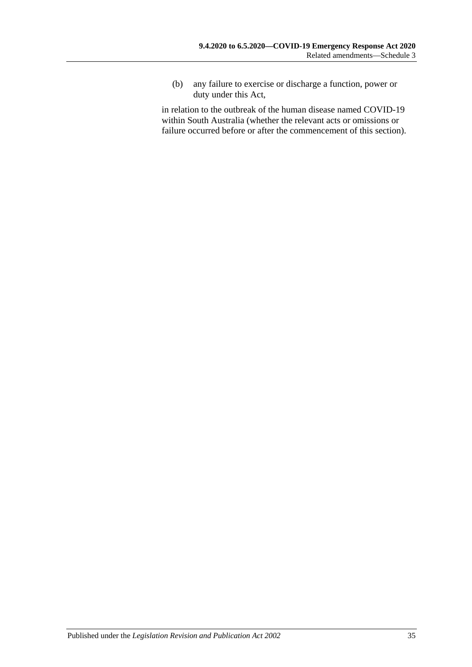(b) any failure to exercise or discharge a function, power or duty under this Act,

in relation to the outbreak of the human disease named COVID-19 within South Australia (whether the relevant acts or omissions or failure occurred before or after the commencement of this section).